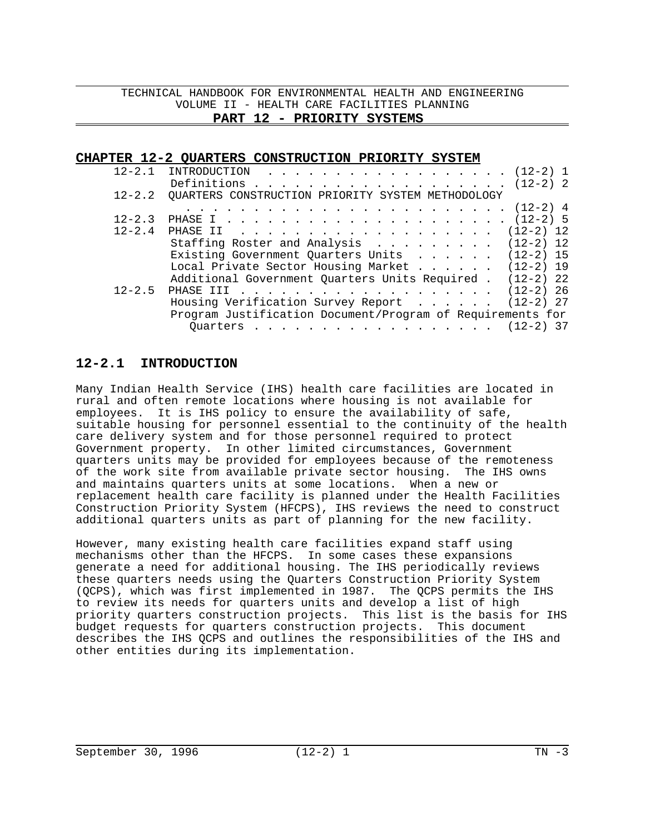### **CHAPTER 12-2 QUARTERS CONSTRUCTION PRIORITY SYSTEM**

|            | $12-2.1$ INTRODUCTION (12-2) 1                             |
|------------|------------------------------------------------------------|
|            | Definitions (12-2) 2                                       |
|            | 12-2.2 QUARTERS CONSTRUCTION PRIORITY SYSTEM METHODOLOGY   |
|            |                                                            |
| $12 - 2.3$ |                                                            |
| $12 - 2.4$ |                                                            |
|            | Staffing Roster and Analysis $\ldots$ (12-2) 12            |
|            | Existing Government Quarters Units $\ldots$ (12-2) 15      |
|            | Local Private Sector Housing Market (12-2) 19              |
|            | Additional Government Quarters Units Required . (12-2) 22  |
| $12 - 2.5$ |                                                            |
|            | Housing Verification Survey Report (12-2) 27               |
|            | Program Justification Document/Program of Requirements for |
|            | Quarters (12-2) 37                                         |

## **12-2.1 INTRODUCTION**

Many Indian Health Service (IHS) health care facilities are located in rural and often remote locations where housing is not available for employees. It is IHS policy to ensure the availability of safe, suitable housing for personnel essential to the continuity of the health care delivery system and for those personnel required to protect Government property. In other limited circumstances, Government quarters units may be provided for employees because of the remoteness of the work site from available private sector housing. The IHS owns and maintains quarters units at some locations. When a new or replacement health care facility is planned under the Health Facilities Construction Priority System (HFCPS), IHS reviews the need to construct additional quarters units as part of planning for the new facility.

However, many existing health care facilities expand staff using mechanisms other than the HFCPS. In some cases these expansions generate a need for additional housing. The IHS periodically reviews these quarters needs using the Quarters Construction Priority System (QCPS), which was first implemented in 1987. The QCPS permits the IHS to review its needs for quarters units and develop a list of high priority quarters construction projects. This list is the basis for IHS budget requests for quarters construction projects. This document describes the IHS QCPS and outlines the responsibilities of the IHS and other entities during its implementation.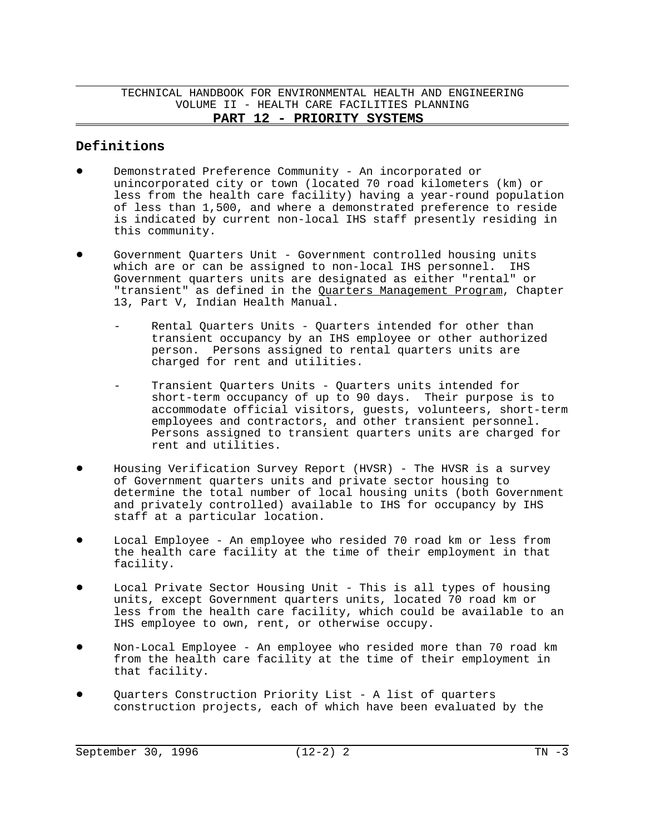## **Definitions**

- Demonstrated Preference Community An incorporated or unincorporated city or town (located 70 road kilometers (km) or less from the health care facility) having a year-round population of less than 1,500, and where a demonstrated preference to reside is indicated by current non-local IHS staff presently residing in this community.
- ! Government Quarters Unit Government controlled housing units which are or can be assigned to non-local IHS personnel. IHS Government quarters units are designated as either "rental" or "transient" as defined in the Quarters Management Program, Chapter 13, Part V, Indian Health Manual.
	- Rental Quarters Units Quarters intended for other than transient occupancy by an IHS employee or other authorized person. Persons assigned to rental quarters units are charged for rent and utilities.
	- Transient Quarters Units Quarters units intended for short-term occupancy of up to 90 days. Their purpose is to accommodate official visitors, guests, volunteers, short-term employees and contractors, and other transient personnel. Persons assigned to transient quarters units are charged for rent and utilities.
- ! Housing Verification Survey Report (HVSR) The HVSR is a survey of Government quarters units and private sector housing to determine the total number of local housing units (both Government and privately controlled) available to IHS for occupancy by IHS staff at a particular location.
- Local Employee An employee who resided 70 road km or less from the health care facility at the time of their employment in that facility.
- ! Local Private Sector Housing Unit This is all types of housing units, except Government quarters units, located 70 road km or less from the health care facility, which could be available to an IHS employee to own, rent, or otherwise occupy.
- ! Non-Local Employee An employee who resided more than 70 road km from the health care facility at the time of their employment in that facility.
- Quarters Construction Priority List A list of quarters construction projects, each of which have been evaluated by the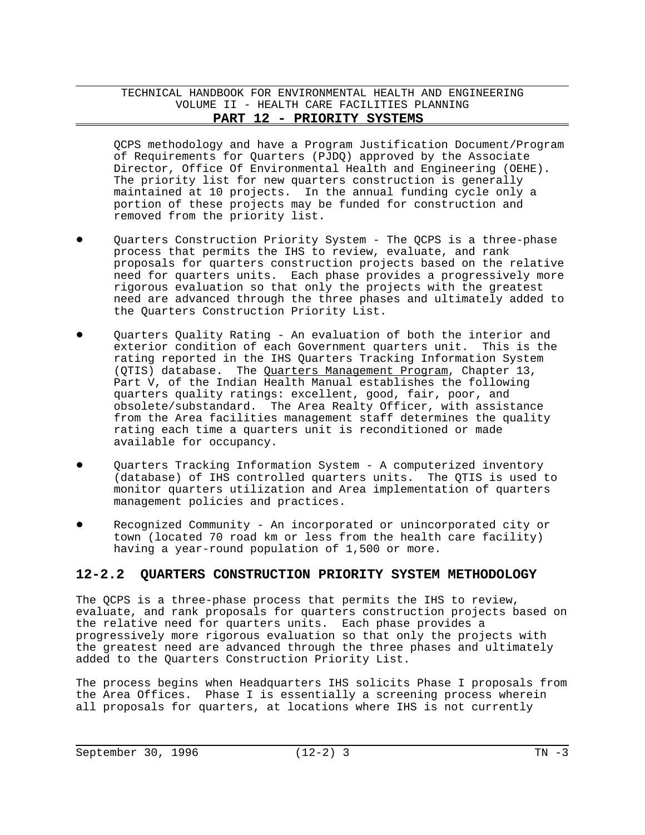QCPS methodology and have a Program Justification Document/Program of Requirements for Quarters (PJDQ) approved by the Associate Director, Office Of Environmental Health and Engineering (OEHE). The priority list for new quarters construction is generally maintained at 10 projects. In the annual funding cycle only a portion of these projects may be funded for construction and removed from the priority list.

- Quarters Construction Priority System The QCPS is a three-phase process that permits the IHS to review, evaluate, and rank proposals for quarters construction projects based on the relative need for quarters units. Each phase provides a progressively more rigorous evaluation so that only the projects with the greatest need are advanced through the three phases and ultimately added to the Quarters Construction Priority List.
- Quarters Quality Rating An evaluation of both the interior and exterior condition of each Government quarters unit. This is the rating reported in the IHS Quarters Tracking Information System (QTIS) database. The Quarters Management Program, Chapter 13, Part V, of the Indian Health Manual establishes the following quarters quality ratings: excellent, good, fair, poor, and obsolete/substandard. The Area Realty Officer, with assistance from the Area facilities management staff determines the quality rating each time a quarters unit is reconditioned or made available for occupancy.
- ! Quarters Tracking Information System A computerized inventory (database) of IHS controlled quarters units. The QTIS is used to monitor quarters utilization and Area implementation of quarters management policies and practices.
- Recognized Community An incorporated or unincorporated city or town (located 70 road km or less from the health care facility) having a year-round population of 1,500 or more.

## **12-2.2 QUARTERS CONSTRUCTION PRIORITY SYSTEM METHODOLOGY**

The QCPS is a three-phase process that permits the IHS to review, evaluate, and rank proposals for quarters construction projects based on the relative need for quarters units. Each phase provides a progressively more rigorous evaluation so that only the projects with the greatest need are advanced through the three phases and ultimately added to the Quarters Construction Priority List.

The process begins when Headquarters IHS solicits Phase I proposals from the Area Offices. Phase I is essentially a screening process wherein all proposals for quarters, at locations where IHS is not currently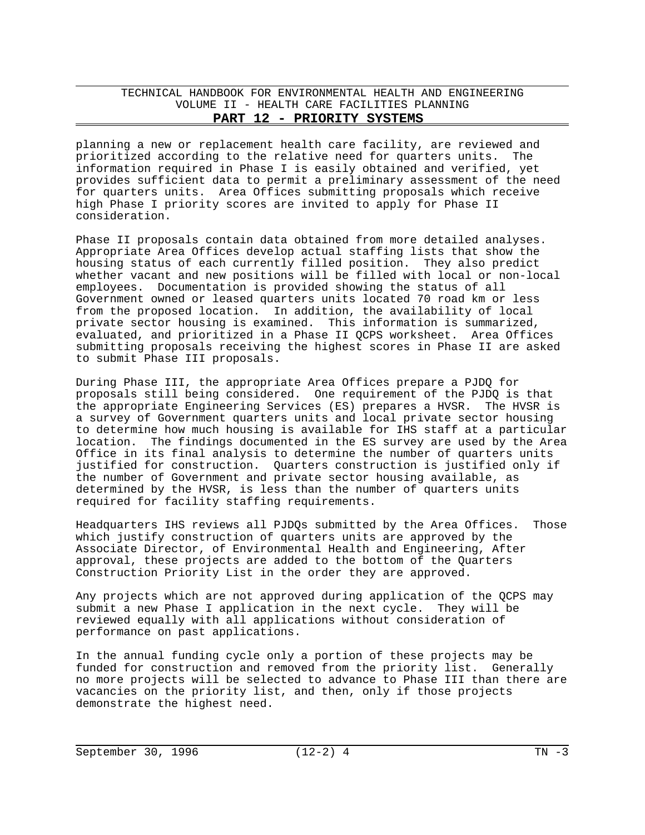planning a new or replacement health care facility, are reviewed and prioritized according to the relative need for quarters units. The information required in Phase I is easily obtained and verified, yet provides sufficient data to permit a preliminary assessment of the need for quarters units. Area Offices submitting proposals which receive high Phase I priority scores are invited to apply for Phase II consideration.

Phase II proposals contain data obtained from more detailed analyses. Appropriate Area Offices develop actual staffing lists that show the housing status of each currently filled position. They also predict whether vacant and new positions will be filled with local or non-local employees. Documentation is provided showing the status of all Government owned or leased quarters units located 70 road km or less from the proposed location. In addition, the availability of local private sector housing is examined. This information is summarized, evaluated, and prioritized in a Phase II QCPS worksheet. Area Offices submitting proposals receiving the highest scores in Phase II are asked to submit Phase III proposals.

During Phase III, the appropriate Area Offices prepare a PJDQ for proposals still being considered. One requirement of the PJDQ is that the appropriate Engineering Services (ES) prepares a HVSR. The HVSR is a survey of Government quarters units and local private sector housing to determine how much housing is available for IHS staff at a particular location. The findings documented in the ES survey are used by the Area Office in its final analysis to determine the number of quarters units justified for construction. Quarters construction is justified only if the number of Government and private sector housing available, as determined by the HVSR, is less than the number of quarters units required for facility staffing requirements.

Headquarters IHS reviews all PJDQs submitted by the Area Offices. Those which justify construction of quarters units are approved by the Associate Director, of Environmental Health and Engineering, After approval, these projects are added to the bottom of the Quarters Construction Priority List in the order they are approved.

Any projects which are not approved during application of the QCPS may submit a new Phase I application in the next cycle. They will be reviewed equally with all applications without consideration of performance on past applications.

In the annual funding cycle only a portion of these projects may be funded for construction and removed from the priority list. Generally no more projects will be selected to advance to Phase III than there are vacancies on the priority list, and then, only if those projects demonstrate the highest need.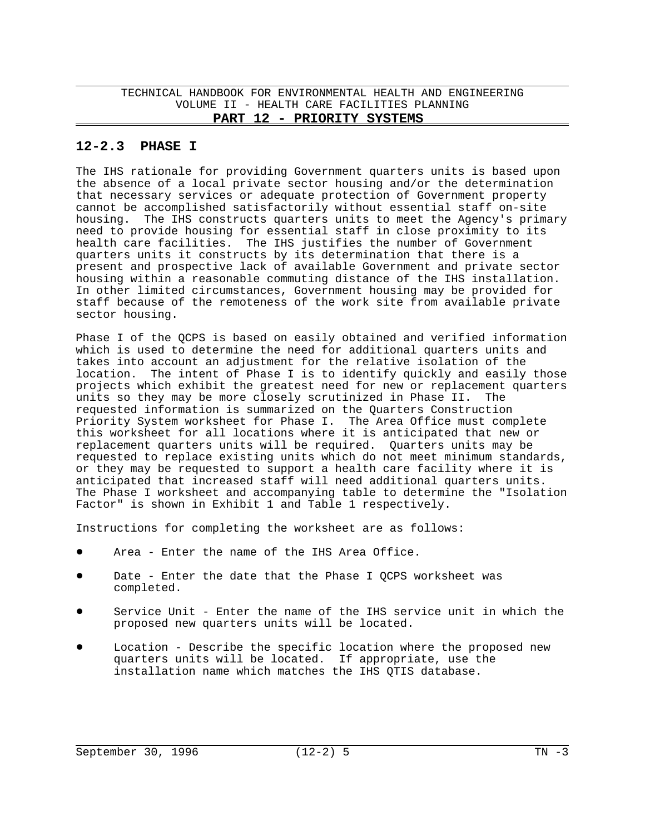## **12-2.3 PHASE I**

The IHS rationale for providing Government quarters units is based upon the absence of a local private sector housing and/or the determination that necessary services or adequate protection of Government property cannot be accomplished satisfactorily without essential staff on-site housing. The IHS constructs quarters units to meet the Agency's primary need to provide housing for essential staff in close proximity to its health care facilities. The IHS justifies the number of Government quarters units it constructs by its determination that there is a present and prospective lack of available Government and private sector housing within a reasonable commuting distance of the IHS installation. In other limited circumstances, Government housing may be provided for staff because of the remoteness of the work site from available private sector housing.

Phase I of the QCPS is based on easily obtained and verified information which is used to determine the need for additional quarters units and takes into account an adjustment for the relative isolation of the location. The intent of Phase I is to identify quickly and easily those projects which exhibit the greatest need for new or replacement quarters units so they may be more closely scrutinized in Phase II. The requested information is summarized on the Quarters Construction Priority System worksheet for Phase I. The Area Office must complete this worksheet for all locations where it is anticipated that new or replacement quarters units will be required. Quarters units may be requested to replace existing units which do not meet minimum standards, or they may be requested to support a health care facility where it is anticipated that increased staff will need additional quarters units. The Phase I worksheet and accompanying table to determine the "Isolation Factor" is shown in Exhibit 1 and Table 1 respectively.

Instructions for completing the worksheet are as follows:

- Area Enter the name of the IHS Area Office.
- Date Enter the date that the Phase I OCPS worksheet was completed.
- Service Unit Enter the name of the IHS service unit in which the proposed new quarters units will be located.
- Location Describe the specific location where the proposed new quarters units will be located. If appropriate, use the installation name which matches the IHS QTIS database.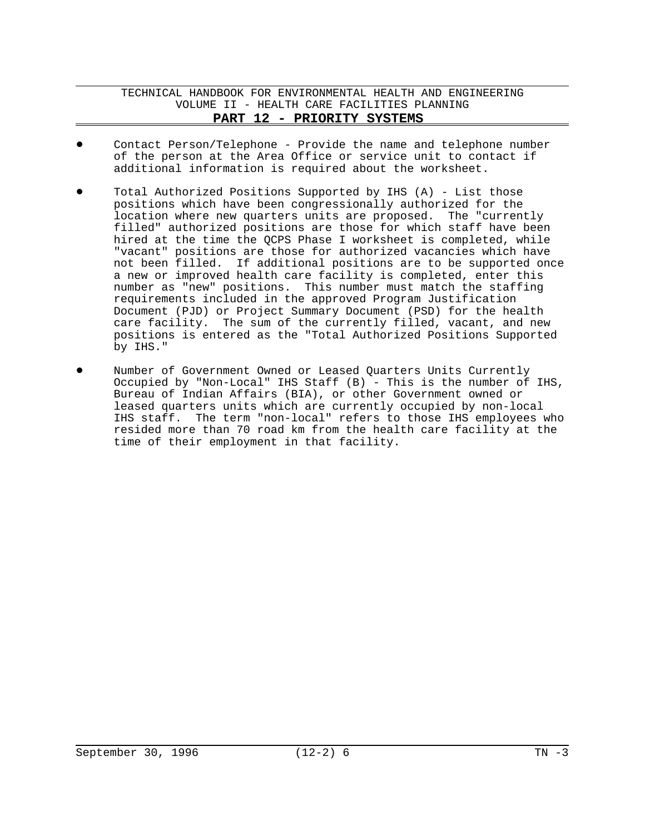- Contact Person/Telephone Provide the name and telephone number of the person at the Area Office or service unit to contact if additional information is required about the worksheet.
- Total Authorized Positions Supported by IHS  $(A)$  List those positions which have been congressionally authorized for the location where new quarters units are proposed. The "currently filled" authorized positions are those for which staff have been hired at the time the QCPS Phase I worksheet is completed, while "vacant" positions are those for authorized vacancies which have not been filled. If additional positions are to be supported once a new or improved health care facility is completed, enter this number as "new" positions. This number must match the staffing requirements included in the approved Program Justification Document (PJD) or Project Summary Document (PSD) for the health care facility. The sum of the currently filled, vacant, and new positions is entered as the "Total Authorized Positions Supported by IHS."
- Number of Government Owned or Leased Quarters Units Currently Occupied by "Non-Local" IHS Staff (B) - This is the number of IHS, Bureau of Indian Affairs (BIA), or other Government owned or leased quarters units which are currently occupied by non-local IHS staff. The term "non-local" refers to those IHS employees who resided more than 70 road km from the health care facility at the time of their employment in that facility.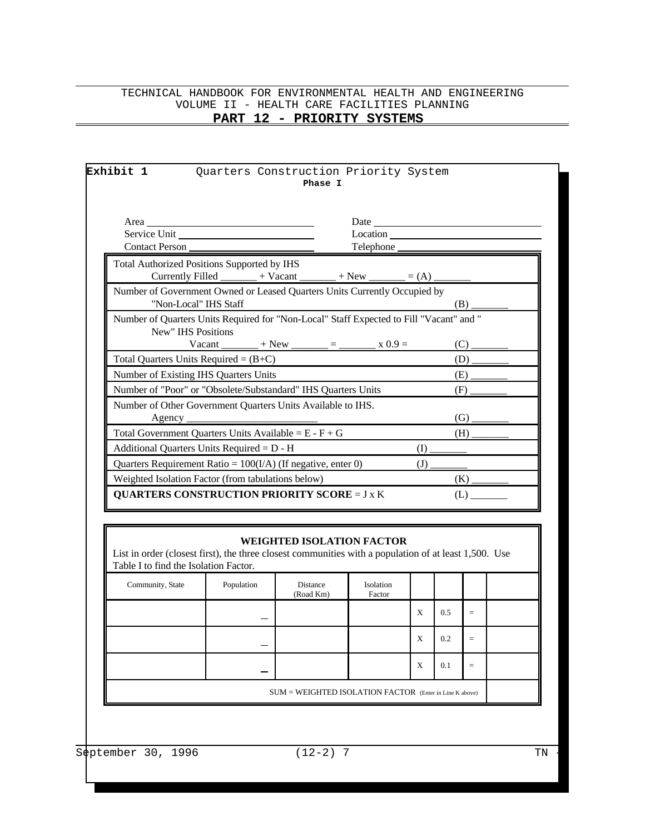# TECHNICAL HANDBOOK FOR ENVIRONMENTAL HEALTH AND ENGINEERING VOLUME II - HEALTH CARE FACILITIES PLANNING

# **PART 12 - PRIORITY SYSTEMS**

| Service Unit                                                                                                                                   |                                                              |                                  | Location            |     |     |     |  |
|------------------------------------------------------------------------------------------------------------------------------------------------|--------------------------------------------------------------|----------------------------------|---------------------|-----|-----|-----|--|
| <b>Contact Person</b>                                                                                                                          |                                                              |                                  | Telephone           |     |     |     |  |
| Total Authorized Positions Supported by IHS                                                                                                    |                                                              |                                  |                     |     |     |     |  |
|                                                                                                                                                | Currently Filled _______ + Vacant ______ + New _____ = (A) _ |                                  |                     |     |     |     |  |
| Number of Government Owned or Leased Quarters Units Currently Occupied by<br>"Non-Local" IHS Staff                                             |                                                              |                                  |                     |     |     | (B) |  |
| Number of Quarters Units Required for "Non-Local" Staff Expected to Fill "Vacant" and "<br>New" IHS Positions                                  |                                                              |                                  |                     |     |     |     |  |
|                                                                                                                                                | Vacant ________ + New ______ = _______ x 0.9 =               |                                  |                     |     |     | (C) |  |
| Total Quarters Units Required = $(B+C)$                                                                                                        |                                                              |                                  |                     |     |     | (D) |  |
| Number of Existing IHS Quarters Units                                                                                                          |                                                              |                                  |                     |     |     | (E) |  |
| Number of "Poor" or "Obsolete/Substandard" IHS Quarters Units<br>Number of Other Government Quarters Units Available to IHS.                   |                                                              |                                  |                     |     |     | (F) |  |
| Agency $\_\$                                                                                                                                   |                                                              |                                  |                     |     |     | (G) |  |
| Total Government Quarters Units Available = $E - F + G$                                                                                        |                                                              |                                  |                     |     |     | (H) |  |
| Additional Quarters Units Required = D - H                                                                                                     |                                                              |                                  |                     | (I) |     |     |  |
| Quarters Requirement Ratio = $100(I/A)$ (If negative, enter 0)                                                                                 |                                                              |                                  |                     | (J) |     |     |  |
| Weighted Isolation Factor (from tabulations below)                                                                                             |                                                              |                                  |                     |     |     | (K) |  |
| <b>QUARTERS CONSTRUCTION PRIORITY SCORE = J x K</b>                                                                                            |                                                              |                                  |                     |     |     | (L) |  |
|                                                                                                                                                |                                                              |                                  |                     |     |     |     |  |
|                                                                                                                                                |                                                              |                                  |                     |     |     |     |  |
| List in order (closest first), the three closest communities with a population of at least 1,500. Use<br>Table I to find the Isolation Factor. |                                                              | <b>WEIGHTED ISOLATION FACTOR</b> |                     |     |     |     |  |
| Community, State                                                                                                                               | Population                                                   | Distance<br>(Road Km)            | Isolation<br>Factor |     |     |     |  |
|                                                                                                                                                |                                                              |                                  |                     | X   | 0.5 | $=$ |  |
|                                                                                                                                                |                                                              |                                  |                     | Х   | 0.2 | $=$ |  |
|                                                                                                                                                |                                                              |                                  |                     | X   | 0.1 | $=$ |  |
|                                                                                                                                                |                                                              |                                  |                     |     |     |     |  |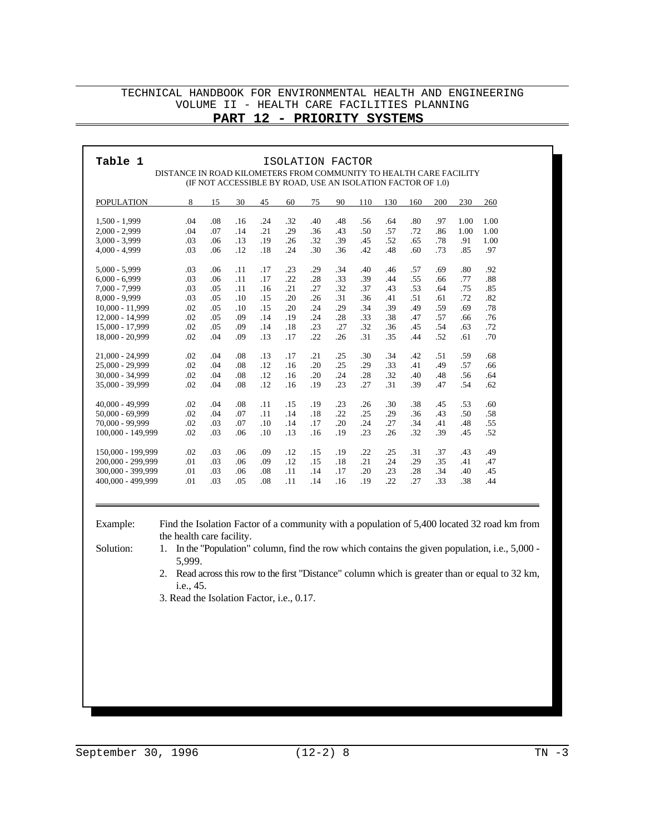### TECHNICAL HANDBOOK FOR ENVIRONMENTAL HEALTH AND ENGINEERING VOLUME II - HEALTH CARE FACILITIES PLANNING

# **PART 12 - PRIORITY SYSTEMS**

| .04<br>.08<br>$1,500 - 1,999$<br>.16<br>.24<br>.32<br>.40<br>.48<br>.56<br>.64<br>.80<br>.97<br>1.00<br>1.00<br>.04<br>.07<br>.21<br>.29<br>.50<br>.57<br>.72<br>$2,000 - 2,999$<br>.14<br>.36<br>.43<br>.86<br>1.00<br>1.00<br>.03<br>.06<br>.32<br>.39<br>.52<br>.78<br>$3,000 - 3,999$<br>.13<br>.19<br>.26<br>.45<br>.65<br>.91<br>1.00<br>.48<br>$4,000 - 4,999$<br>.03<br>.06<br>.12<br>.24<br>.30<br>.36<br>.42<br>.60<br>.73<br>.85<br>.97<br>.18<br>$5,000 - 5,999$<br>.03<br>.06<br>.11<br>.17<br>.23<br>.29<br>.34<br>.40<br>.46<br>.57<br>.69<br>.80<br>.92<br>$6,000 - 6,999$<br>.03<br>.06<br>.22<br>.33<br>.39<br>.11<br>.17<br>.28<br>.44<br>.55<br>.66<br>.77<br>.88<br>7,000 - 7,999<br>.03<br>.05<br>.11<br>.21<br>.27<br>.32<br>.37<br>.43<br>.53<br>.75<br>.16<br>.64<br>.85<br>$8,000 - 9,999$<br>.03<br>.05<br>.10<br>.20<br>.26<br>.31<br>.36<br>.41<br>.51<br>.61<br>.72<br>.82<br>.15<br>.29<br>.39<br>.49<br>.59<br>10,000 - 11,999<br>.02<br>.05<br>.10<br>.15<br>.20<br>.24<br>.34<br>.69<br>.78<br>.02<br>.28<br>12,000 - 14,999<br>.05<br>.09<br>.14<br>.19<br>.24<br>.33<br>.38<br>.47<br>.57<br>.66<br>.76<br>.02<br>.05<br>.23<br>.27<br>.32<br>.45<br>15,000 - 17,999<br>.09<br>.14<br>.18<br>.36<br>.54<br>.63<br>.72<br>.02<br>.22<br>.31<br>.52<br>18,000 - 20,999<br>.04<br>.09<br>.13<br>.17<br>.26<br>.35<br>.44<br>.61<br>.70<br>21,000 - 24,999<br>.02<br>.04<br>.08<br>.13<br>.21<br>.25<br>.30<br>.34<br>.42<br>.51<br>.59<br>.68<br>.17<br>25,000 - 29,999<br>.02<br>.04<br>.08<br>.12<br>.20<br>.25<br>.29<br>.33<br>.41<br>.49<br>.16<br>.57<br>.66<br>.32<br>30,000 - 34,999<br>.02<br>.04<br>.08<br>.12<br>.16<br>.20<br>.24<br>.28<br>.40<br>.48<br>.56<br>.64<br>35,000 - 39,999<br>.02<br>.04<br>.08<br>.12<br>.19<br>.23<br>.27<br>.31<br>.39<br>.47<br>.54<br>.16<br>.62<br>40,000 - 49,999<br>.02<br>.04<br>.08<br>.11<br>.19<br>.23<br>.30<br>.38<br>.60<br>.15<br>.26<br>.45<br>.53<br>50,000 - 69,999<br>.02<br>.04<br>.07<br>.11<br>.22<br>.25<br>.29<br>.43<br>.50<br>.14<br>.18<br>.36<br>.58<br>70,000 - 99,999<br>.02<br>.34<br>.03<br>.07<br>.10<br>.14<br>.17<br>.20<br>.24<br>.27<br>.41<br>.48<br>.55<br>100,000 - 149,999<br>.02<br>.03<br>.19<br>.23<br>.26<br>.32<br>.39<br>.52<br>.06<br>.10<br>.13<br>.16<br>.45<br>150,000 - 199,999<br>.02<br>.03<br>.06<br>.09<br>.12<br>.19<br>.22<br>.25<br>.31<br>.37<br>.43<br>.49<br>.15<br>.01<br>.03<br>.29<br>200,000 - 299,999<br>.06<br>.09<br>.12<br>.15<br>.18<br>.21<br>.24<br>.35<br>.41<br>.47<br>300,000 - 399,999<br>.01<br>.03<br>.11<br>.14<br>.17<br>.20<br>.23<br>.28<br>.34<br>.40<br>.45<br>.06<br>.08<br>.22<br>400,000 - 499,999<br>.01<br>.03<br>.27<br>.33<br>.05<br>.08<br>.11<br>.14<br>.16<br>.19<br>.38<br>.44 | <b>POPULATION</b> | 8  | 15 | 30 | 45 | 60 | 75 | 90 | 110 | 130 | 160 | 200 | 230 | 260 |
|-----------------------------------------------------------------------------------------------------------------------------------------------------------------------------------------------------------------------------------------------------------------------------------------------------------------------------------------------------------------------------------------------------------------------------------------------------------------------------------------------------------------------------------------------------------------------------------------------------------------------------------------------------------------------------------------------------------------------------------------------------------------------------------------------------------------------------------------------------------------------------------------------------------------------------------------------------------------------------------------------------------------------------------------------------------------------------------------------------------------------------------------------------------------------------------------------------------------------------------------------------------------------------------------------------------------------------------------------------------------------------------------------------------------------------------------------------------------------------------------------------------------------------------------------------------------------------------------------------------------------------------------------------------------------------------------------------------------------------------------------------------------------------------------------------------------------------------------------------------------------------------------------------------------------------------------------------------------------------------------------------------------------------------------------------------------------------------------------------------------------------------------------------------------------------------------------------------------------------------------------------------------------------------------------------------------------------------------------------------------------------------------------------------------------------------------------------------------------------------------------------------------------------------------------------------------------------------------------------------------------------------------------------------------------------------------------------------------------------------------------------------|-------------------|----|----|----|----|----|----|----|-----|-----|-----|-----|-----|-----|
|                                                                                                                                                                                                                                                                                                                                                                                                                                                                                                                                                                                                                                                                                                                                                                                                                                                                                                                                                                                                                                                                                                                                                                                                                                                                                                                                                                                                                                                                                                                                                                                                                                                                                                                                                                                                                                                                                                                                                                                                                                                                                                                                                                                                                                                                                                                                                                                                                                                                                                                                                                                                                                                                                                                                                           |                   |    |    |    |    |    |    |    |     |     |     |     |     |     |
|                                                                                                                                                                                                                                                                                                                                                                                                                                                                                                                                                                                                                                                                                                                                                                                                                                                                                                                                                                                                                                                                                                                                                                                                                                                                                                                                                                                                                                                                                                                                                                                                                                                                                                                                                                                                                                                                                                                                                                                                                                                                                                                                                                                                                                                                                                                                                                                                                                                                                                                                                                                                                                                                                                                                                           |                   |    |    |    |    |    |    |    |     |     |     |     |     |     |
|                                                                                                                                                                                                                                                                                                                                                                                                                                                                                                                                                                                                                                                                                                                                                                                                                                                                                                                                                                                                                                                                                                                                                                                                                                                                                                                                                                                                                                                                                                                                                                                                                                                                                                                                                                                                                                                                                                                                                                                                                                                                                                                                                                                                                                                                                                                                                                                                                                                                                                                                                                                                                                                                                                                                                           |                   |    |    |    |    |    |    |    |     |     |     |     |     |     |
|                                                                                                                                                                                                                                                                                                                                                                                                                                                                                                                                                                                                                                                                                                                                                                                                                                                                                                                                                                                                                                                                                                                                                                                                                                                                                                                                                                                                                                                                                                                                                                                                                                                                                                                                                                                                                                                                                                                                                                                                                                                                                                                                                                                                                                                                                                                                                                                                                                                                                                                                                                                                                                                                                                                                                           |                   |    |    |    |    |    |    |    |     |     |     |     |     |     |
|                                                                                                                                                                                                                                                                                                                                                                                                                                                                                                                                                                                                                                                                                                                                                                                                                                                                                                                                                                                                                                                                                                                                                                                                                                                                                                                                                                                                                                                                                                                                                                                                                                                                                                                                                                                                                                                                                                                                                                                                                                                                                                                                                                                                                                                                                                                                                                                                                                                                                                                                                                                                                                                                                                                                                           |                   |    |    |    |    |    |    |    |     |     |     |     |     |     |
|                                                                                                                                                                                                                                                                                                                                                                                                                                                                                                                                                                                                                                                                                                                                                                                                                                                                                                                                                                                                                                                                                                                                                                                                                                                                                                                                                                                                                                                                                                                                                                                                                                                                                                                                                                                                                                                                                                                                                                                                                                                                                                                                                                                                                                                                                                                                                                                                                                                                                                                                                                                                                                                                                                                                                           |                   |    |    |    |    |    |    |    |     |     |     |     |     |     |
|                                                                                                                                                                                                                                                                                                                                                                                                                                                                                                                                                                                                                                                                                                                                                                                                                                                                                                                                                                                                                                                                                                                                                                                                                                                                                                                                                                                                                                                                                                                                                                                                                                                                                                                                                                                                                                                                                                                                                                                                                                                                                                                                                                                                                                                                                                                                                                                                                                                                                                                                                                                                                                                                                                                                                           |                   |    |    |    |    |    |    |    |     |     |     |     |     |     |
|                                                                                                                                                                                                                                                                                                                                                                                                                                                                                                                                                                                                                                                                                                                                                                                                                                                                                                                                                                                                                                                                                                                                                                                                                                                                                                                                                                                                                                                                                                                                                                                                                                                                                                                                                                                                                                                                                                                                                                                                                                                                                                                                                                                                                                                                                                                                                                                                                                                                                                                                                                                                                                                                                                                                                           |                   |    |    |    |    |    |    |    |     |     |     |     |     |     |
|                                                                                                                                                                                                                                                                                                                                                                                                                                                                                                                                                                                                                                                                                                                                                                                                                                                                                                                                                                                                                                                                                                                                                                                                                                                                                                                                                                                                                                                                                                                                                                                                                                                                                                                                                                                                                                                                                                                                                                                                                                                                                                                                                                                                                                                                                                                                                                                                                                                                                                                                                                                                                                                                                                                                                           |                   |    |    |    |    |    |    |    |     |     |     |     |     |     |
|                                                                                                                                                                                                                                                                                                                                                                                                                                                                                                                                                                                                                                                                                                                                                                                                                                                                                                                                                                                                                                                                                                                                                                                                                                                                                                                                                                                                                                                                                                                                                                                                                                                                                                                                                                                                                                                                                                                                                                                                                                                                                                                                                                                                                                                                                                                                                                                                                                                                                                                                                                                                                                                                                                                                                           |                   |    |    |    |    |    |    |    |     |     |     |     |     |     |
|                                                                                                                                                                                                                                                                                                                                                                                                                                                                                                                                                                                                                                                                                                                                                                                                                                                                                                                                                                                                                                                                                                                                                                                                                                                                                                                                                                                                                                                                                                                                                                                                                                                                                                                                                                                                                                                                                                                                                                                                                                                                                                                                                                                                                                                                                                                                                                                                                                                                                                                                                                                                                                                                                                                                                           |                   |    |    |    |    |    |    |    |     |     |     |     |     |     |
|                                                                                                                                                                                                                                                                                                                                                                                                                                                                                                                                                                                                                                                                                                                                                                                                                                                                                                                                                                                                                                                                                                                                                                                                                                                                                                                                                                                                                                                                                                                                                                                                                                                                                                                                                                                                                                                                                                                                                                                                                                                                                                                                                                                                                                                                                                                                                                                                                                                                                                                                                                                                                                                                                                                                                           |                   |    |    |    |    |    |    |    |     |     |     |     |     |     |
|                                                                                                                                                                                                                                                                                                                                                                                                                                                                                                                                                                                                                                                                                                                                                                                                                                                                                                                                                                                                                                                                                                                                                                                                                                                                                                                                                                                                                                                                                                                                                                                                                                                                                                                                                                                                                                                                                                                                                                                                                                                                                                                                                                                                                                                                                                                                                                                                                                                                                                                                                                                                                                                                                                                                                           |                   |    |    |    |    |    |    |    |     |     |     |     |     |     |
|                                                                                                                                                                                                                                                                                                                                                                                                                                                                                                                                                                                                                                                                                                                                                                                                                                                                                                                                                                                                                                                                                                                                                                                                                                                                                                                                                                                                                                                                                                                                                                                                                                                                                                                                                                                                                                                                                                                                                                                                                                                                                                                                                                                                                                                                                                                                                                                                                                                                                                                                                                                                                                                                                                                                                           |                   |    |    |    |    |    |    |    |     |     |     |     |     |     |
|                                                                                                                                                                                                                                                                                                                                                                                                                                                                                                                                                                                                                                                                                                                                                                                                                                                                                                                                                                                                                                                                                                                                                                                                                                                                                                                                                                                                                                                                                                                                                                                                                                                                                                                                                                                                                                                                                                                                                                                                                                                                                                                                                                                                                                                                                                                                                                                                                                                                                                                                                                                                                                                                                                                                                           |                   |    |    |    |    |    |    |    |     |     |     |     |     |     |
|                                                                                                                                                                                                                                                                                                                                                                                                                                                                                                                                                                                                                                                                                                                                                                                                                                                                                                                                                                                                                                                                                                                                                                                                                                                                                                                                                                                                                                                                                                                                                                                                                                                                                                                                                                                                                                                                                                                                                                                                                                                                                                                                                                                                                                                                                                                                                                                                                                                                                                                                                                                                                                                                                                                                                           |                   |    |    |    |    |    |    |    |     |     |     |     |     |     |
|                                                                                                                                                                                                                                                                                                                                                                                                                                                                                                                                                                                                                                                                                                                                                                                                                                                                                                                                                                                                                                                                                                                                                                                                                                                                                                                                                                                                                                                                                                                                                                                                                                                                                                                                                                                                                                                                                                                                                                                                                                                                                                                                                                                                                                                                                                                                                                                                                                                                                                                                                                                                                                                                                                                                                           |                   |    |    |    |    |    |    |    |     |     |     |     |     |     |
|                                                                                                                                                                                                                                                                                                                                                                                                                                                                                                                                                                                                                                                                                                                                                                                                                                                                                                                                                                                                                                                                                                                                                                                                                                                                                                                                                                                                                                                                                                                                                                                                                                                                                                                                                                                                                                                                                                                                                                                                                                                                                                                                                                                                                                                                                                                                                                                                                                                                                                                                                                                                                                                                                                                                                           |                   |    |    |    |    |    |    |    |     |     |     |     |     |     |
|                                                                                                                                                                                                                                                                                                                                                                                                                                                                                                                                                                                                                                                                                                                                                                                                                                                                                                                                                                                                                                                                                                                                                                                                                                                                                                                                                                                                                                                                                                                                                                                                                                                                                                                                                                                                                                                                                                                                                                                                                                                                                                                                                                                                                                                                                                                                                                                                                                                                                                                                                                                                                                                                                                                                                           |                   |    |    |    |    |    |    |    |     |     |     |     |     |     |
|                                                                                                                                                                                                                                                                                                                                                                                                                                                                                                                                                                                                                                                                                                                                                                                                                                                                                                                                                                                                                                                                                                                                                                                                                                                                                                                                                                                                                                                                                                                                                                                                                                                                                                                                                                                                                                                                                                                                                                                                                                                                                                                                                                                                                                                                                                                                                                                                                                                                                                                                                                                                                                                                                                                                                           |                   |    |    |    |    |    |    |    |     |     |     |     |     |     |
|                                                                                                                                                                                                                                                                                                                                                                                                                                                                                                                                                                                                                                                                                                                                                                                                                                                                                                                                                                                                                                                                                                                                                                                                                                                                                                                                                                                                                                                                                                                                                                                                                                                                                                                                                                                                                                                                                                                                                                                                                                                                                                                                                                                                                                                                                                                                                                                                                                                                                                                                                                                                                                                                                                                                                           |                   |    |    |    |    |    |    |    |     |     |     |     |     |     |
|                                                                                                                                                                                                                                                                                                                                                                                                                                                                                                                                                                                                                                                                                                                                                                                                                                                                                                                                                                                                                                                                                                                                                                                                                                                                                                                                                                                                                                                                                                                                                                                                                                                                                                                                                                                                                                                                                                                                                                                                                                                                                                                                                                                                                                                                                                                                                                                                                                                                                                                                                                                                                                                                                                                                                           |                   |    |    |    |    |    |    |    |     |     |     |     |     |     |
|                                                                                                                                                                                                                                                                                                                                                                                                                                                                                                                                                                                                                                                                                                                                                                                                                                                                                                                                                                                                                                                                                                                                                                                                                                                                                                                                                                                                                                                                                                                                                                                                                                                                                                                                                                                                                                                                                                                                                                                                                                                                                                                                                                                                                                                                                                                                                                                                                                                                                                                                                                                                                                                                                                                                                           |                   |    |    |    |    |    |    |    |     |     |     |     |     |     |
|                                                                                                                                                                                                                                                                                                                                                                                                                                                                                                                                                                                                                                                                                                                                                                                                                                                                                                                                                                                                                                                                                                                                                                                                                                                                                                                                                                                                                                                                                                                                                                                                                                                                                                                                                                                                                                                                                                                                                                                                                                                                                                                                                                                                                                                                                                                                                                                                                                                                                                                                                                                                                                                                                                                                                           |                   |    |    |    |    |    |    |    |     |     |     |     |     |     |
|                                                                                                                                                                                                                                                                                                                                                                                                                                                                                                                                                                                                                                                                                                                                                                                                                                                                                                                                                                                                                                                                                                                                                                                                                                                                                                                                                                                                                                                                                                                                                                                                                                                                                                                                                                                                                                                                                                                                                                                                                                                                                                                                                                                                                                                                                                                                                                                                                                                                                                                                                                                                                                                                                                                                                           |                   |    |    |    |    |    |    |    |     |     |     |     |     |     |
| the health care facility.                                                                                                                                                                                                                                                                                                                                                                                                                                                                                                                                                                                                                                                                                                                                                                                                                                                                                                                                                                                                                                                                                                                                                                                                                                                                                                                                                                                                                                                                                                                                                                                                                                                                                                                                                                                                                                                                                                                                                                                                                                                                                                                                                                                                                                                                                                                                                                                                                                                                                                                                                                                                                                                                                                                                 |                   | 1. |    |    |    |    |    |    |     |     |     |     |     |     |
| Solution:<br>In the "Population" column, find the row which contains the given population, i.e., 5,000 -                                                                                                                                                                                                                                                                                                                                                                                                                                                                                                                                                                                                                                                                                                                                                                                                                                                                                                                                                                                                                                                                                                                                                                                                                                                                                                                                                                                                                                                                                                                                                                                                                                                                                                                                                                                                                                                                                                                                                                                                                                                                                                                                                                                                                                                                                                                                                                                                                                                                                                                                                                                                                                                  |                   |    |    |    |    |    |    |    |     |     |     |     |     |     |
| 5,999.<br>2.                                                                                                                                                                                                                                                                                                                                                                                                                                                                                                                                                                                                                                                                                                                                                                                                                                                                                                                                                                                                                                                                                                                                                                                                                                                                                                                                                                                                                                                                                                                                                                                                                                                                                                                                                                                                                                                                                                                                                                                                                                                                                                                                                                                                                                                                                                                                                                                                                                                                                                                                                                                                                                                                                                                                              |                   |    |    |    |    |    |    |    |     |     |     |     |     |     |
| Read across this row to the first "Distance" column which is greater than or equal to 32 km,<br>i.e., 45.                                                                                                                                                                                                                                                                                                                                                                                                                                                                                                                                                                                                                                                                                                                                                                                                                                                                                                                                                                                                                                                                                                                                                                                                                                                                                                                                                                                                                                                                                                                                                                                                                                                                                                                                                                                                                                                                                                                                                                                                                                                                                                                                                                                                                                                                                                                                                                                                                                                                                                                                                                                                                                                 |                   |    |    |    |    |    |    |    |     |     |     |     |     |     |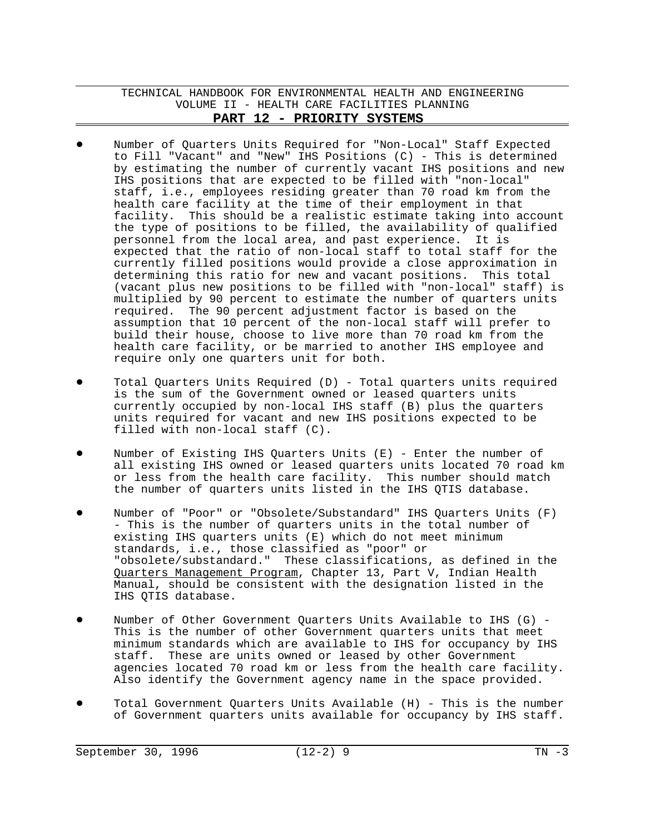- Number of Quarters Units Required for "Non-Local" Staff Expected to Fill "Vacant" and "New" IHS Positions (C) - This is determined by estimating the number of currently vacant IHS positions and new IHS positions that are expected to be filled with "non-local" staff, i.e., employees residing greater than 70 road km from the health care facility at the time of their employment in that facility. This should be a realistic estimate taking into account the type of positions to be filled, the availability of qualified personnel from the local area, and past experience. It is expected that the ratio of non-local staff to total staff for the currently filled positions would provide a close approximation in determining this ratio for new and vacant positions. This total (vacant plus new positions to be filled with "non-local" staff) is multiplied by 90 percent to estimate the number of quarters units required. The 90 percent adjustment factor is based on the assumption that 10 percent of the non-local staff will prefer to build their house, choose to live more than 70 road km from the health care facility, or be married to another IHS employee and require only one quarters unit for both.
- Total Quarters Units Required (D) Total quarters units required is the sum of the Government owned or leased quarters units currently occupied by non-local IHS staff (B) plus the quarters units required for vacant and new IHS positions expected to be filled with non-local staff (C).
- Number of Existing IHS Quarters Units  $(E)$  Enter the number of all existing IHS owned or leased quarters units located 70 road km or less from the health care facility. This number should match the number of quarters units listed in the IHS QTIS database.
- Number of "Poor" or "Obsolete/Substandard" IHS Quarters Units (F) - This is the number of quarters units in the total number of existing IHS quarters units (E) which do not meet minimum standards, i.e., those classified as "poor" or "obsolete/substandard." These classifications, as defined in the Quarters Management Program, Chapter 13, Part V, Indian Health Manual, should be consistent with the designation listed in the IHS QTIS database.
- Number of Other Government Quarters Units Available to IHS  $(G)$  -This is the number of other Government quarters units that meet minimum standards which are available to IHS for occupancy by IHS staff. These are units owned or leased by other Government agencies located 70 road km or less from the health care facility. Also identify the Government agency name in the space provided.
- Total Government Quarters Units Available (H) This is the number of Government quarters units available for occupancy by IHS staff.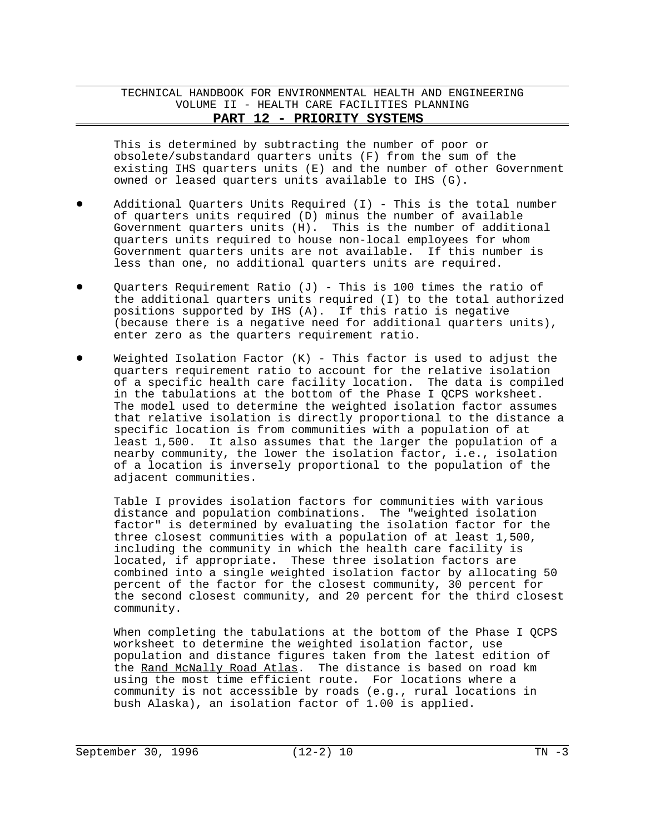This is determined by subtracting the number of poor or obsolete/substandard quarters units (F) from the sum of the existing IHS quarters units (E) and the number of other Government owned or leased quarters units available to IHS (G).

- Additional Quarters Units Required (I) This is the total number of quarters units required (D) minus the number of available Government quarters units (H). This is the number of additional quarters units required to house non-local employees for whom Government quarters units are not available. If this number is less than one, no additional quarters units are required.
- Quarters Requirement Ratio (J) This is 100 times the ratio of the additional quarters units required (I) to the total authorized positions supported by IHS (A). If this ratio is negative (because there is a negative need for additional quarters units), enter zero as the quarters requirement ratio.
- Weighted Isolation Factor  $(K)$  This factor is used to adjust the quarters requirement ratio to account for the relative isolation of a specific health care facility location. The data is compiled in the tabulations at the bottom of the Phase I QCPS worksheet. The model used to determine the weighted isolation factor assumes that relative isolation is directly proportional to the distance a specific location is from communities with a population of at least 1,500. It also assumes that the larger the population of a nearby community, the lower the isolation factor, i.e., isolation of a location is inversely proportional to the population of the adjacent communities.

Table I provides isolation factors for communities with various distance and population combinations. The "weighted isolation factor" is determined by evaluating the isolation factor for the three closest communities with a population of at least 1,500, including the community in which the health care facility is located, if appropriate. These three isolation factors are combined into a single weighted isolation factor by allocating 50 percent of the factor for the closest community, 30 percent for the second closest community, and 20 percent for the third closest community.

When completing the tabulations at the bottom of the Phase I QCPS worksheet to determine the weighted isolation factor, use population and distance figures taken from the latest edition of the Rand McNally Road Atlas. The distance is based on road km using the most time efficient route. For locations where a community is not accessible by roads (e.g., rural locations in bush Alaska), an isolation factor of 1.00 is applied.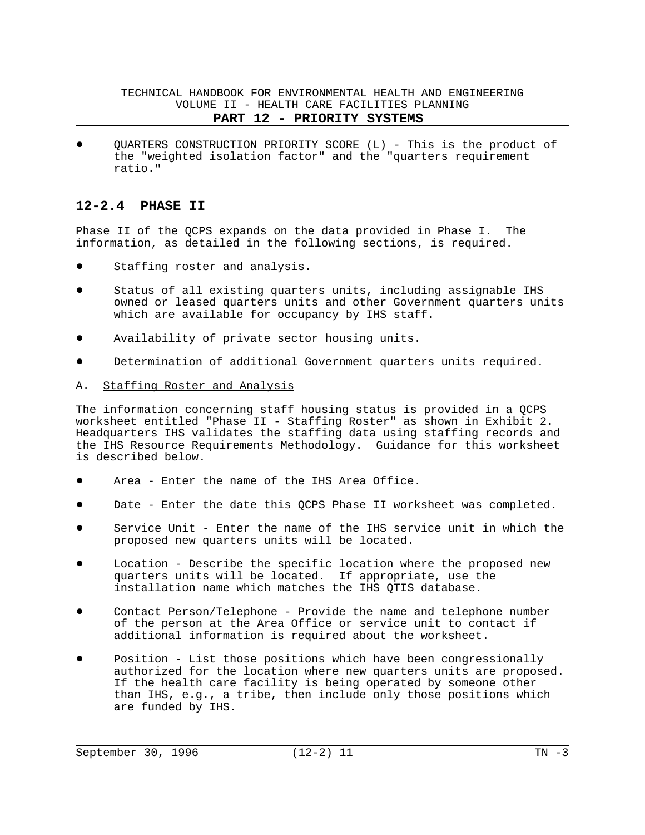TECHNICAL HANDBOOK FOR ENVIRONMENTAL HEALTH AND ENGINEERING VOLUME II - HEALTH CARE FACILITIES PLANNING

## **PART 12 - PRIORITY SYSTEMS**

QUARTERS CONSTRUCTION PRIORITY SCORE (L) - This is the product of the "weighted isolation factor" and the "quarters requirement ratio."

# **12-2.4 PHASE II**

Phase II of the QCPS expands on the data provided in Phase I. The information, as detailed in the following sections, is required.

- Staffing roster and analysis.
- Status of all existing quarters units, including assignable IHS owned or leased quarters units and other Government quarters units which are available for occupancy by IHS staff.
- Availability of private sector housing units.
- Determination of additional Government quarters units required.

### A. Staffing Roster and Analysis

The information concerning staff housing status is provided in a QCPS worksheet entitled "Phase II - Staffing Roster" as shown in Exhibit 2. Headquarters IHS validates the staffing data using staffing records and the IHS Resource Requirements Methodology. Guidance for this worksheet is described below.

- Area Enter the name of the IHS Area Office.
- Date Enter the date this QCPS Phase II worksheet was completed.
- Service Unit Enter the name of the IHS service unit in which the proposed new quarters units will be located.
- Location Describe the specific location where the proposed new quarters units will be located. If appropriate, use the installation name which matches the IHS QTIS database.
- Contact Person/Telephone Provide the name and telephone number of the person at the Area Office or service unit to contact if additional information is required about the worksheet.
- Position List those positions which have been congressionally authorized for the location where new quarters units are proposed. If the health care facility is being operated by someone other than IHS, e.g., a tribe, then include only those positions which are funded by IHS.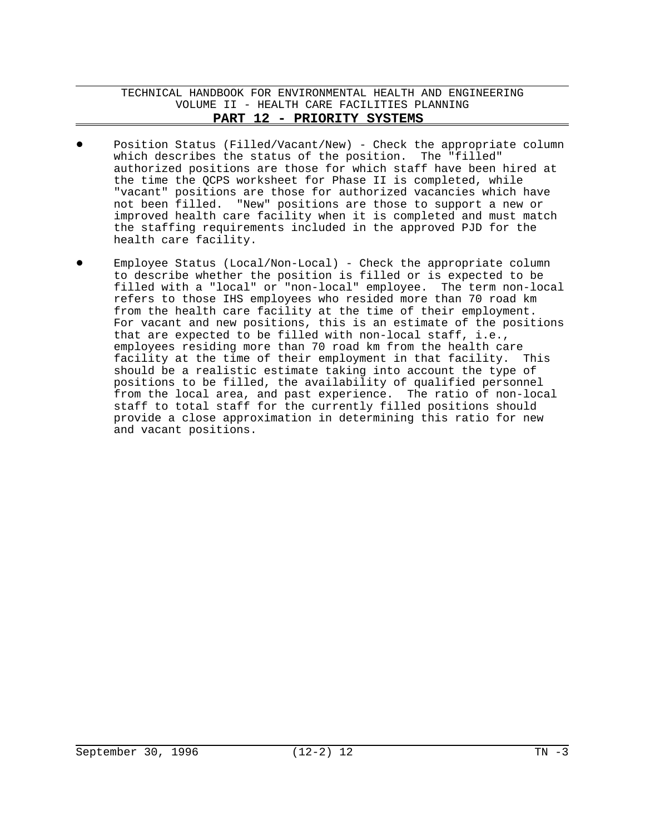- Position Status (Filled/Vacant/New) Check the appropriate column which describes the status of the position. The "filled" authorized positions are those for which staff have been hired at the time the QCPS worksheet for Phase II is completed, while "vacant" positions are those for authorized vacancies which have not been filled. "New" positions are those to support a new or improved health care facility when it is completed and must match the staffing requirements included in the approved PJD for the health care facility.
- Employee Status (Local/Non-Local) Check the appropriate column to describe whether the position is filled or is expected to be filled with a "local" or "non-local" employee. The term non-local refers to those IHS employees who resided more than 70 road km from the health care facility at the time of their employment. For vacant and new positions, this is an estimate of the positions that are expected to be filled with non-local staff, i.e., employees residing more than 70 road km from the health care facility at the time of their employment in that facility. This should be a realistic estimate taking into account the type of positions to be filled, the availability of qualified personnel from the local area, and past experience. The ratio of non-local staff to total staff for the currently filled positions should provide a close approximation in determining this ratio for new and vacant positions.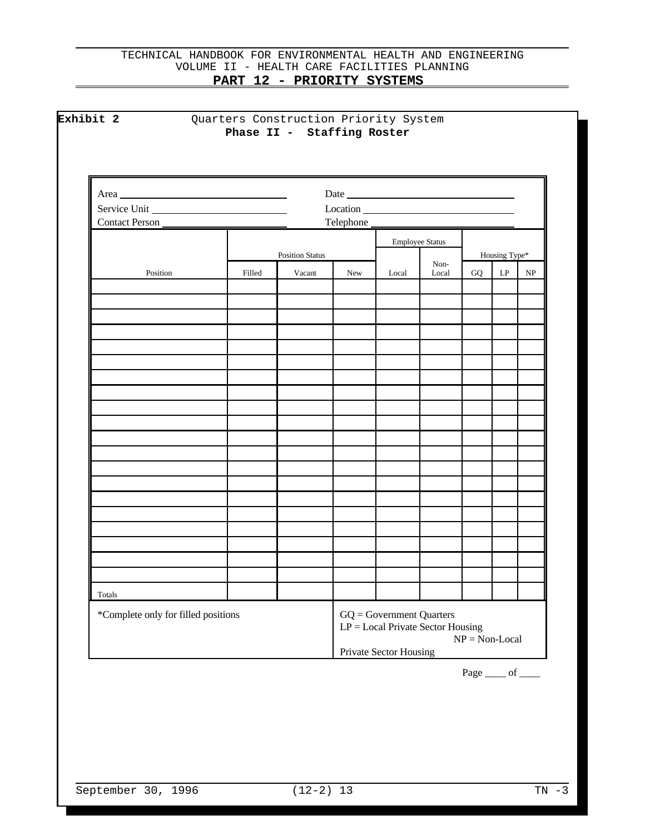| Service Unit   |        |                        |     | $\frac{1}{2}$ |                        |    |               |                                 |
|----------------|--------|------------------------|-----|---------------|------------------------|----|---------------|---------------------------------|
| Contact Person |        |                        |     | Telephone     |                        |    |               |                                 |
|                |        | <b>Position Status</b> |     |               | <b>Employee Status</b> |    | Housing Type* |                                 |
| Position       | Filled | Vacant                 | New | Local         | Non-<br>Local          | GQ | LP            | $\ensuremath{\text{NP}}\xspace$ |
|                |        |                        |     |               |                        |    |               |                                 |
|                |        |                        |     |               |                        |    |               |                                 |
|                |        |                        |     |               |                        |    |               |                                 |
|                |        |                        |     |               |                        |    |               |                                 |
|                |        |                        |     |               |                        |    |               |                                 |
|                |        |                        |     |               |                        |    |               |                                 |
|                |        |                        |     |               |                        |    |               |                                 |
|                |        |                        |     |               |                        |    |               |                                 |
|                |        |                        |     |               |                        |    |               |                                 |
|                |        |                        |     |               |                        |    |               |                                 |
|                |        |                        |     |               |                        |    |               |                                 |
|                |        |                        |     |               |                        |    |               |                                 |
|                |        |                        |     |               |                        |    |               |                                 |
|                |        |                        |     |               |                        |    |               |                                 |
|                |        |                        |     |               |                        |    |               |                                 |
|                |        |                        |     |               |                        |    |               |                                 |
|                |        |                        |     |               |                        |    |               |                                 |
|                |        |                        |     |               |                        |    |               |                                 |
|                |        |                        |     |               |                        |    |               |                                 |
| Totals         |        |                        |     |               |                        |    |               |                                 |

Page <u>\_\_\_\_\_</u> of \_\_\_\_\_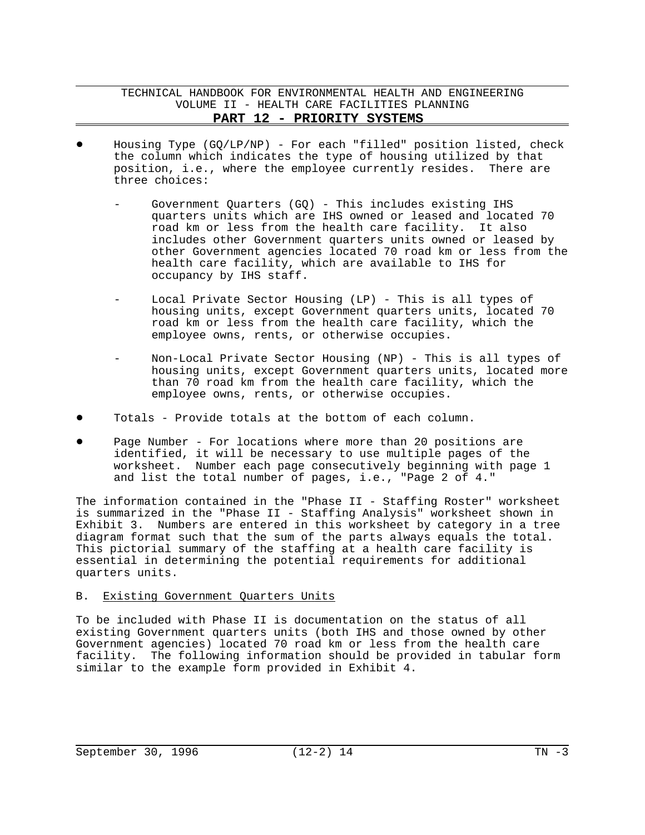- Housing Type  $(GQ/LP/NP)$  For each "filled" position listed, check the column which indicates the type of housing utilized by that position, i.e., where the employee currently resides. There are three choices:
	- Government Quarters (GQ) This includes existing IHS quarters units which are IHS owned or leased and located 70 road km or less from the health care facility. It also includes other Government quarters units owned or leased by other Government agencies located 70 road km or less from the health care facility, which are available to IHS for occupancy by IHS staff.
	- Local Private Sector Housing (LP) This is all types of housing units, except Government quarters units, located 70 road km or less from the health care facility, which the employee owns, rents, or otherwise occupies.
	- Non-Local Private Sector Housing (NP) This is all types of housing units, except Government quarters units, located more than 70 road km from the health care facility, which the employee owns, rents, or otherwise occupies.
- Totals Provide totals at the bottom of each column.
- Page Number For locations where more than 20 positions are identified, it will be necessary to use multiple pages of the worksheet. Number each page consecutively beginning with page 1 and list the total number of pages, i.e., "Page 2 of 4."

The information contained in the "Phase II - Staffing Roster" worksheet is summarized in the "Phase II - Staffing Analysis" worksheet shown in Exhibit 3. Numbers are entered in this worksheet by category in a tree diagram format such that the sum of the parts always equals the total. This pictorial summary of the staffing at a health care facility is essential in determining the potential requirements for additional quarters units.

### B. Existing Government Quarters Units

To be included with Phase II is documentation on the status of all existing Government quarters units (both IHS and those owned by other Government agencies) located 70 road km or less from the health care facility. The following information should be provided in tabular form similar to the example form provided in Exhibit 4.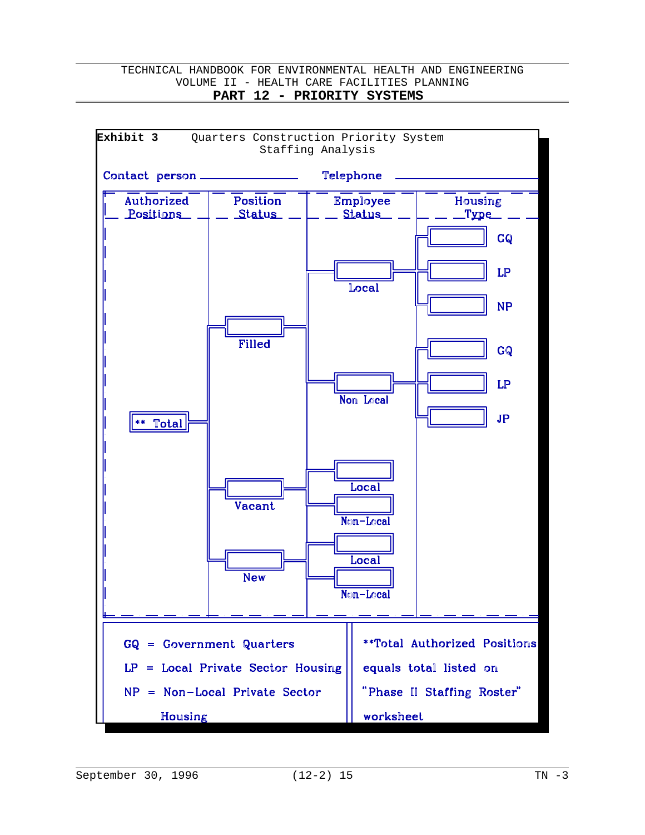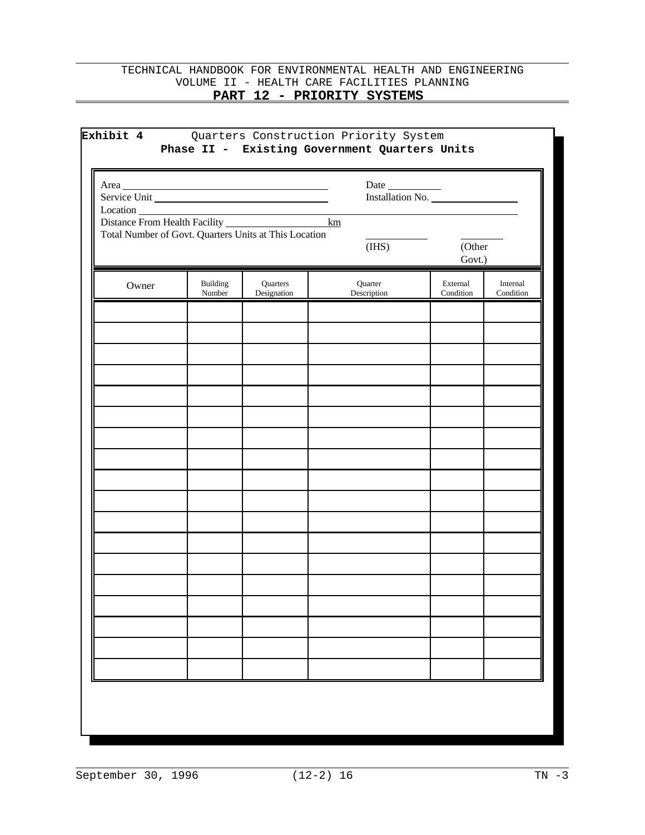| Area_ |                           |                                                       |                        | Installation No.      |                       |
|-------|---------------------------|-------------------------------------------------------|------------------------|-----------------------|-----------------------|
|       |                           | Total Number of Govt. Quarters Units at This Location | (IHS)                  | (Other<br>Govt.)      |                       |
| Owner | <b>Building</b><br>Number | Quarters<br>Designation                               | Quarter<br>Description | External<br>Condition | Internal<br>Condition |
|       |                           |                                                       |                        |                       |                       |
|       |                           |                                                       |                        |                       |                       |
|       |                           |                                                       |                        |                       |                       |
|       |                           |                                                       |                        |                       |                       |
|       |                           |                                                       |                        |                       |                       |
|       |                           |                                                       |                        |                       |                       |
|       |                           |                                                       |                        |                       |                       |
|       |                           |                                                       |                        |                       |                       |
|       |                           |                                                       |                        |                       |                       |
|       |                           |                                                       |                        |                       |                       |
|       |                           |                                                       |                        |                       |                       |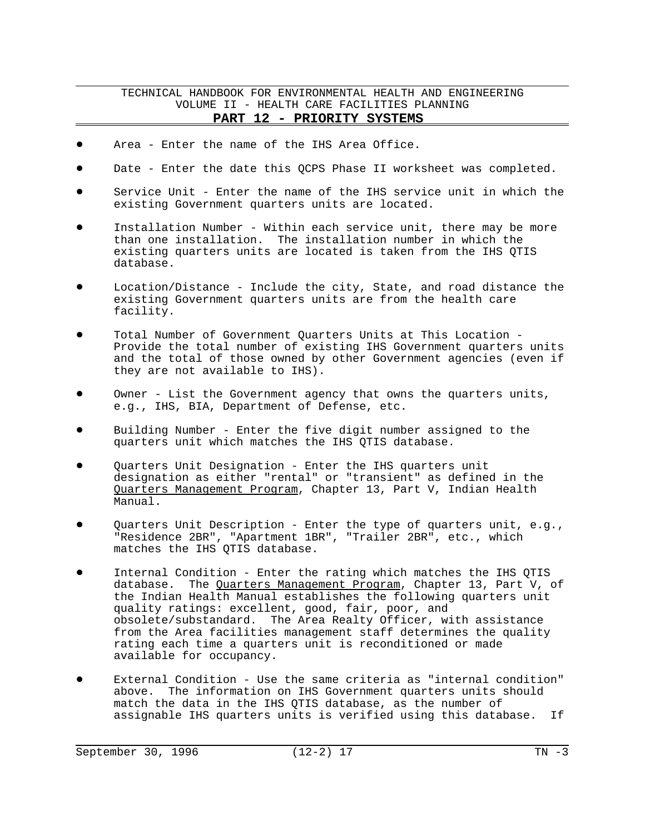- Area Enter the name of the IHS Area Office.
- Date Enter the date this QCPS Phase II worksheet was completed.
- Service Unit Enter the name of the IHS service unit in which the existing Government quarters units are located.
- Installation Number Within each service unit, there may be more than one installation. The installation number in which the existing quarters units are located is taken from the IHS QTIS database.
- Location/Distance Include the city, State, and road distance the existing Government quarters units are from the health care facility.
- Total Number of Government Quarters Units at This Location -Provide the total number of existing IHS Government quarters units and the total of those owned by other Government agencies (even if they are not available to IHS).
- Owner List the Government agency that owns the quarters units, e.g., IHS, BIA, Department of Defense, etc.
- Building Number Enter the five digit number assigned to the quarters unit which matches the IHS QTIS database.
- Quarters Unit Designation Enter the IHS quarters unit designation as either "rental" or "transient" as defined in the Quarters Management Program, Chapter 13, Part V, Indian Health Manual.
- Quarters Unit Description Enter the type of quarters unit, e.g., "Residence 2BR", "Apartment 1BR", "Trailer 2BR", etc., which matches the IHS QTIS database.
- Internal Condition Enter the rating which matches the IHS QTIS database. The Quarters Management Program, Chapter 13, Part V, of the Indian Health Manual establishes the following quarters unit quality ratings: excellent, good, fair, poor, and obsolete/substandard. The Area Realty Officer, with assistance from the Area facilities management staff determines the quality rating each time a quarters unit is reconditioned or made available for occupancy.
- External Condition Use the same criteria as "internal condition" above. The information on IHS Government quarters units should match the data in the IHS QTIS database, as the number of assignable IHS quarters units is verified using this database. If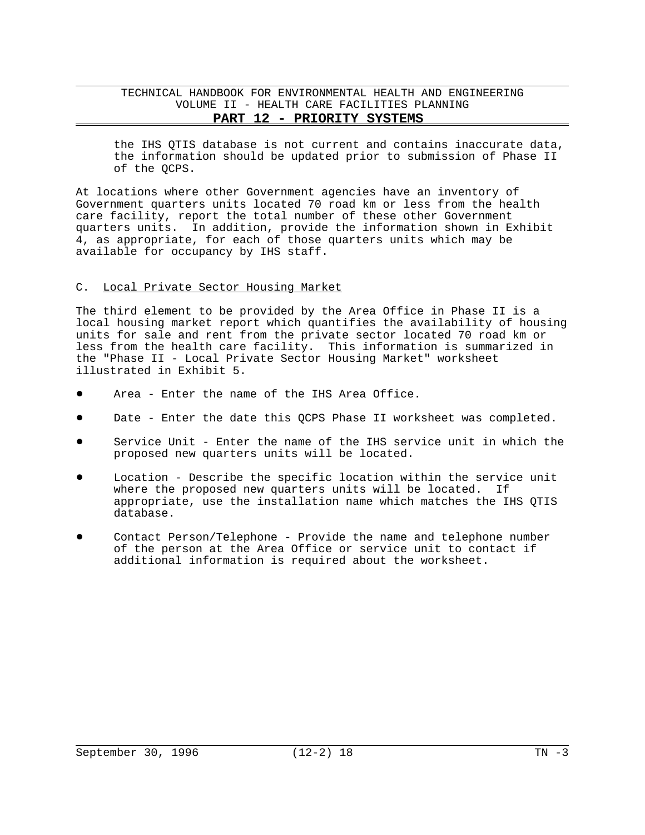the IHS QTIS database is not current and contains inaccurate data, the information should be updated prior to submission of Phase II of the QCPS.

At locations where other Government agencies have an inventory of Government quarters units located 70 road km or less from the health care facility, report the total number of these other Government quarters units. In addition, provide the information shown in Exhibit 4, as appropriate, for each of those quarters units which may be available for occupancy by IHS staff.

#### C. Local Private Sector Housing Market

The third element to be provided by the Area Office in Phase II is a local housing market report which quantifies the availability of housing units for sale and rent from the private sector located 70 road km or less from the health care facility. This information is summarized in the "Phase II - Local Private Sector Housing Market" worksheet illustrated in Exhibit 5.

- Area Enter the name of the IHS Area Office.
- Date Enter the date this QCPS Phase II worksheet was completed.
- Service Unit Enter the name of the IHS service unit in which the proposed new quarters units will be located.
- Location Describe the specific location within the service unit where the proposed new quarters units will be located. If appropriate, use the installation name which matches the IHS QTIS database.
- ! Contact Person/Telephone Provide the name and telephone number of the person at the Area Office or service unit to contact if additional information is required about the worksheet.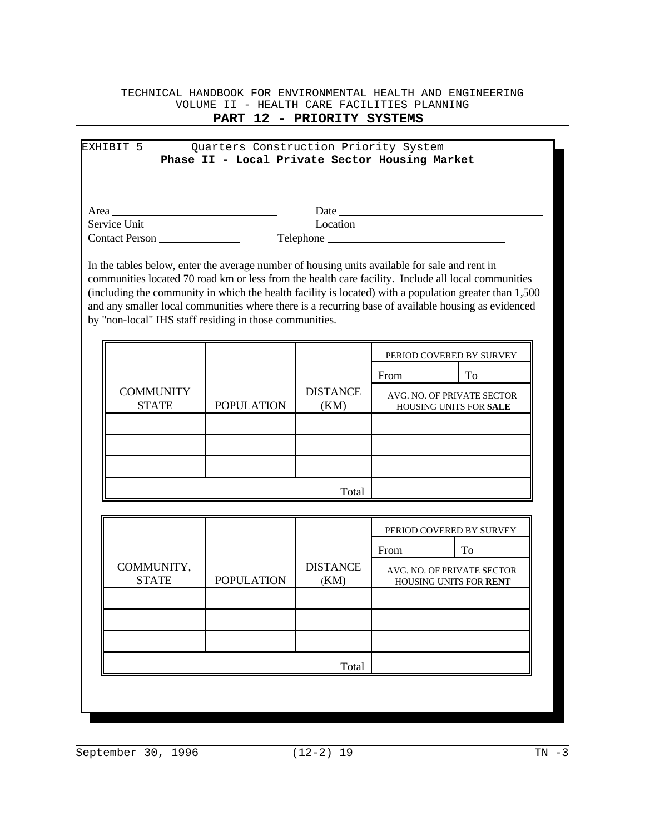# TECHNICAL HANDBOOK FOR ENVIRONMENTAL HEALTH AND ENGINEERING VOLUME II - HEALTH CARE FACILITIES PLANNING

# **PART 12 - PRIORITY SYSTEMS**

## EXHIBIT 5 Quarters Construction Priority System **Phase II - Local Private Sector Housing Market**

| Area                  | Date      |
|-----------------------|-----------|
| Service Unit          | Location  |
| <b>Contact Person</b> | Telephone |

In the tables below, enter the average number of housing units available for sale and rent in communities located 70 road km or less from the health care facility. Include all local communities (including the community in which the health facility is located) with a population greater than 1,500 and any smaller local communities where there is a recurring base of available housing as evidenced by "non-local" IHS staff residing in those communities.

|                                  |                   |                         | PERIOD COVERED BY SURVEY                                    |    |
|----------------------------------|-------------------|-------------------------|-------------------------------------------------------------|----|
|                                  |                   |                         | From                                                        | To |
| <b>COMMUNITY</b><br><b>STATE</b> | <b>POPULATION</b> | <b>DISTANCE</b><br>(KM) | AVG. NO. OF PRIVATE SECTOR<br><b>HOUSING UNITS FOR SALE</b> |    |
|                                  |                   |                         |                                                             |    |
|                                  |                   |                         |                                                             |    |
|                                  |                   |                         |                                                             |    |
|                                  |                   | Total                   |                                                             |    |

|                   |                         | From | To                                                                               |
|-------------------|-------------------------|------|----------------------------------------------------------------------------------|
| <b>POPULATION</b> | <b>DISTANCE</b><br>(KM) |      |                                                                                  |
|                   |                         |      |                                                                                  |
|                   |                         |      |                                                                                  |
|                   |                         |      |                                                                                  |
|                   | Total                   |      |                                                                                  |
|                   |                         |      | PERIOD COVERED BY SURVEY<br>AVG. NO. OF PRIVATE SECTOR<br>HOUSING UNITS FOR RENT |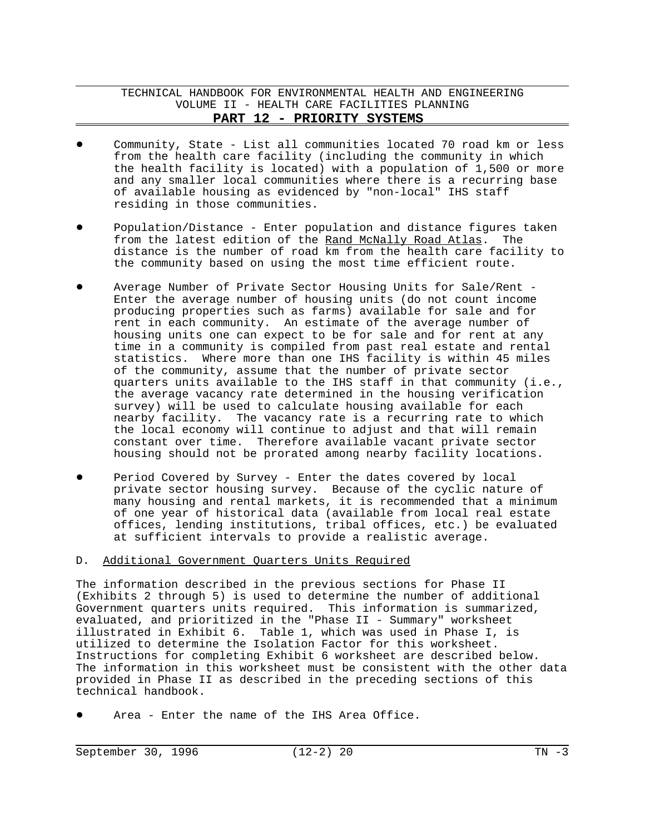- ! Community, State List all communities located 70 road km or less from the health care facility (including the community in which the health facility is located) with a population of 1,500 or more and any smaller local communities where there is a recurring base of available housing as evidenced by "non-local" IHS staff residing in those communities.
- Population/Distance Enter population and distance figures taken from the latest edition of the Rand McNally Road Atlas. The distance is the number of road km from the health care facility to the community based on using the most time efficient route.
- Average Number of Private Sector Housing Units for Sale/Rent -Enter the average number of housing units (do not count income producing properties such as farms) available for sale and for rent in each community. An estimate of the average number of housing units one can expect to be for sale and for rent at any time in a community is compiled from past real estate and rental statistics. Where more than one IHS facility is within 45 miles of the community, assume that the number of private sector quarters units available to the IHS staff in that community (i.e., the average vacancy rate determined in the housing verification survey) will be used to calculate housing available for each nearby facility. The vacancy rate is a recurring rate to which the local economy will continue to adjust and that will remain constant over time. Therefore available vacant private sector housing should not be prorated among nearby facility locations.
- Period Covered by Survey Enter the dates covered by local private sector housing survey. Because of the cyclic nature of many housing and rental markets, it is recommended that a minimum of one year of historical data (available from local real estate offices, lending institutions, tribal offices, etc.) be evaluated at sufficient intervals to provide a realistic average.

### D. Additional Government Quarters Units Required

The information described in the previous sections for Phase II (Exhibits 2 through 5) is used to determine the number of additional Government quarters units required. This information is summarized, evaluated, and prioritized in the "Phase II - Summary" worksheet illustrated in Exhibit 6. Table 1, which was used in Phase I, is utilized to determine the Isolation Factor for this worksheet. Instructions for completing Exhibit 6 worksheet are described below. The information in this worksheet must be consistent with the other data provided in Phase II as described in the preceding sections of this technical handbook.

Area - Enter the name of the IHS Area Office.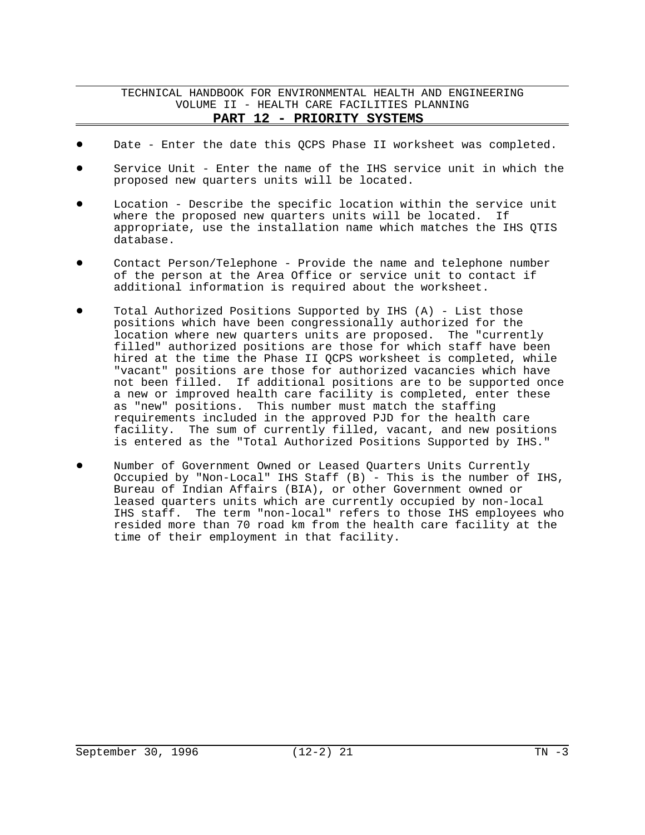- Date Enter the date this QCPS Phase II worksheet was completed.
- Service Unit Enter the name of the IHS service unit in which the proposed new quarters units will be located.
- Location Describe the specific location within the service unit where the proposed new quarters units will be located. If appropriate, use the installation name which matches the IHS QTIS database.
- ! Contact Person/Telephone Provide the name and telephone number of the person at the Area Office or service unit to contact if additional information is required about the worksheet.
- ! Total Authorized Positions Supported by IHS (A) List those positions which have been congressionally authorized for the location where new quarters units are proposed. The "currently filled" authorized positions are those for which staff have been hired at the time the Phase II QCPS worksheet is completed, while "vacant" positions are those for authorized vacancies which have not been filled. If additional positions are to be supported once a new or improved health care facility is completed, enter these as "new" positions. This number must match the staffing requirements included in the approved PJD for the health care facility. The sum of currently filled, vacant, and new positions is entered as the "Total Authorized Positions Supported by IHS."
- Number of Government Owned or Leased Quarters Units Currently Occupied by "Non-Local" IHS Staff (B) - This is the number of IHS, Bureau of Indian Affairs (BIA), or other Government owned or leased quarters units which are currently occupied by non-local IHS staff. The term "non-local" refers to those IHS employees who resided more than 70 road km from the health care facility at the time of their employment in that facility.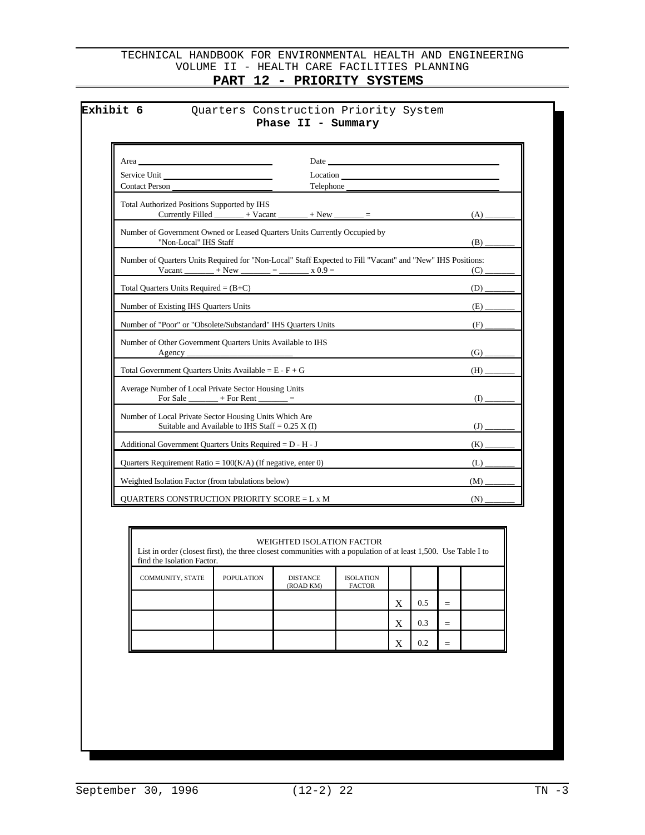| Service Unit<br>Contact Person<br>Telephone<br>Total Authorized Positions Supported by IHS<br>Currently Filled _______ + Vacant<br>Number of Government Owned or Leased Quarters Units Currently Occupied by<br>"Non-Local" IHS Staff<br>Number of Quarters Units Required for "Non-Local" Staff Expected to Fill "Vacant" and "New" IHS Positions:<br>$x + New$ $x = 0.9$<br>Vacant<br>Total Quarters Units Required = $(B+C)$<br>Number of Existing IHS Quarters Units<br>Number of "Poor" or "Obsolete/Substandard" IHS Quarters Units<br>Number of Other Government Quarters Units Available to IHS<br>Agency<br>Total Government Quarters Units Available = $E - F + G$<br>Average Number of Local Private Sector Housing Units<br>For Sale $\frac{\ }{}$ + For Rent $\frac{\ }{}$ =<br>Number of Local Private Sector Housing Units Which Are<br>Suitable and Available to IHS Staff = $0.25$ X (I)<br>Additional Government Quarters Units Required = D - H - J | Date and the same state of the state of the state of the state of the state of the state of the state of the state of the state of the state of the state of the state of the state of the state of the state of the state of<br>Area |            |
|------------------------------------------------------------------------------------------------------------------------------------------------------------------------------------------------------------------------------------------------------------------------------------------------------------------------------------------------------------------------------------------------------------------------------------------------------------------------------------------------------------------------------------------------------------------------------------------------------------------------------------------------------------------------------------------------------------------------------------------------------------------------------------------------------------------------------------------------------------------------------------------------------------------------------------------------------------------------|---------------------------------------------------------------------------------------------------------------------------------------------------------------------------------------------------------------------------------------|------------|
|                                                                                                                                                                                                                                                                                                                                                                                                                                                                                                                                                                                                                                                                                                                                                                                                                                                                                                                                                                        |                                                                                                                                                                                                                                       |            |
|                                                                                                                                                                                                                                                                                                                                                                                                                                                                                                                                                                                                                                                                                                                                                                                                                                                                                                                                                                        |                                                                                                                                                                                                                                       |            |
|                                                                                                                                                                                                                                                                                                                                                                                                                                                                                                                                                                                                                                                                                                                                                                                                                                                                                                                                                                        |                                                                                                                                                                                                                                       | (A)        |
|                                                                                                                                                                                                                                                                                                                                                                                                                                                                                                                                                                                                                                                                                                                                                                                                                                                                                                                                                                        |                                                                                                                                                                                                                                       | (B)        |
|                                                                                                                                                                                                                                                                                                                                                                                                                                                                                                                                                                                                                                                                                                                                                                                                                                                                                                                                                                        |                                                                                                                                                                                                                                       | (C)        |
|                                                                                                                                                                                                                                                                                                                                                                                                                                                                                                                                                                                                                                                                                                                                                                                                                                                                                                                                                                        |                                                                                                                                                                                                                                       | (D)        |
|                                                                                                                                                                                                                                                                                                                                                                                                                                                                                                                                                                                                                                                                                                                                                                                                                                                                                                                                                                        |                                                                                                                                                                                                                                       | (E)        |
|                                                                                                                                                                                                                                                                                                                                                                                                                                                                                                                                                                                                                                                                                                                                                                                                                                                                                                                                                                        |                                                                                                                                                                                                                                       | (F)        |
|                                                                                                                                                                                                                                                                                                                                                                                                                                                                                                                                                                                                                                                                                                                                                                                                                                                                                                                                                                        |                                                                                                                                                                                                                                       | (G)        |
|                                                                                                                                                                                                                                                                                                                                                                                                                                                                                                                                                                                                                                                                                                                                                                                                                                                                                                                                                                        |                                                                                                                                                                                                                                       | (H)        |
|                                                                                                                                                                                                                                                                                                                                                                                                                                                                                                                                                                                                                                                                                                                                                                                                                                                                                                                                                                        |                                                                                                                                                                                                                                       | (I)        |
|                                                                                                                                                                                                                                                                                                                                                                                                                                                                                                                                                                                                                                                                                                                                                                                                                                                                                                                                                                        |                                                                                                                                                                                                                                       | (J)        |
|                                                                                                                                                                                                                                                                                                                                                                                                                                                                                                                                                                                                                                                                                                                                                                                                                                                                                                                                                                        |                                                                                                                                                                                                                                       | (K)        |
|                                                                                                                                                                                                                                                                                                                                                                                                                                                                                                                                                                                                                                                                                                                                                                                                                                                                                                                                                                        | Quarters Requirement Ratio = $100(K/A)$ (If negative, enter 0)                                                                                                                                                                        | (L)        |
|                                                                                                                                                                                                                                                                                                                                                                                                                                                                                                                                                                                                                                                                                                                                                                                                                                                                                                                                                                        | Weighted Isolation Factor (from tabulations below)<br><b>OUARTERS CONSTRUCTION PRIORITY SCORE = L x M</b>                                                                                                                             | (M)<br>(N) |

| List in order (closest first), the three closest communities with a population of at least 1,500. Use Table I to<br>find the Isolation Factor. |            | WEIGHTED ISOLATION FACTOR    |                                   |   |     |   |  |
|------------------------------------------------------------------------------------------------------------------------------------------------|------------|------------------------------|-----------------------------------|---|-----|---|--|
| <b>COMMUNITY, STATE</b>                                                                                                                        | POPULATION | <b>DISTANCE</b><br>(ROAD KM) | <b>ISOLATION</b><br><b>FACTOR</b> |   |     |   |  |
|                                                                                                                                                |            |                              |                                   |   | 0.5 |   |  |
|                                                                                                                                                |            |                              |                                   | X | 0.3 | - |  |
|                                                                                                                                                |            |                              |                                   |   | 0.2 |   |  |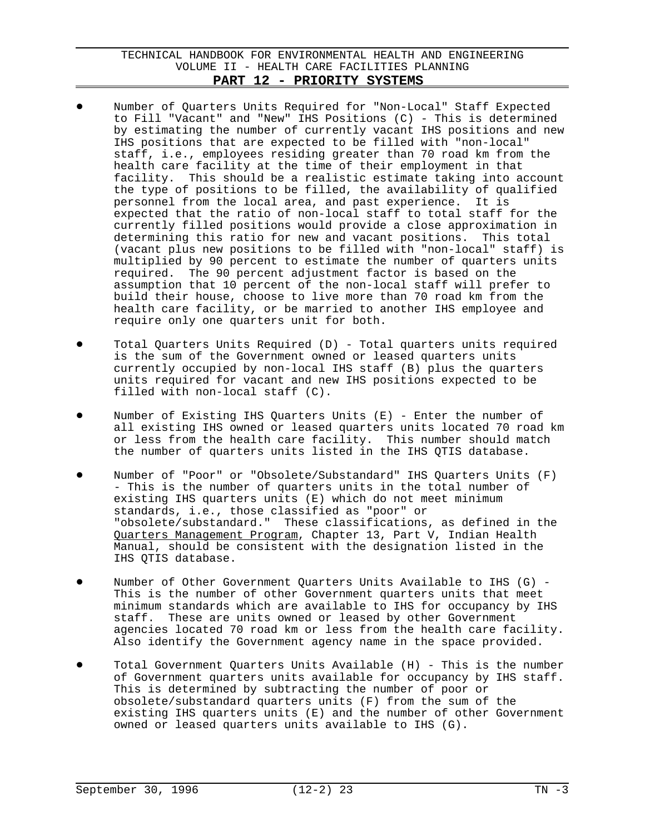- Number of Quarters Units Required for "Non-Local" Staff Expected to Fill "Vacant" and "New" IHS Positions (C) - This is determined by estimating the number of currently vacant IHS positions and new IHS positions that are expected to be filled with "non-local" staff, i.e., employees residing greater than 70 road km from the health care facility at the time of their employment in that facility. This should be a realistic estimate taking into account the type of positions to be filled, the availability of qualified personnel from the local area, and past experience. It is expected that the ratio of non-local staff to total staff for the currently filled positions would provide a close approximation in determining this ratio for new and vacant positions. This total (vacant plus new positions to be filled with "non-local" staff) is multiplied by 90 percent to estimate the number of quarters units required. The 90 percent adjustment factor is based on the assumption that 10 percent of the non-local staff will prefer to build their house, choose to live more than 70 road km from the health care facility, or be married to another IHS employee and require only one quarters unit for both.
- Total Quarters Units Required (D) Total quarters units required is the sum of the Government owned or leased quarters units currently occupied by non-local IHS staff (B) plus the quarters units required for vacant and new IHS positions expected to be filled with non-local staff (C).
- Number of Existing IHS Quarters Units  $(E)$  Enter the number of all existing IHS owned or leased quarters units located 70 road km or less from the health care facility. This number should match the number of quarters units listed in the IHS QTIS database.
- Number of "Poor" or "Obsolete/Substandard" IHS Quarters Units (F) - This is the number of quarters units in the total number of existing IHS quarters units (E) which do not meet minimum standards, i.e., those classified as "poor" or "obsolete/substandard." These classifications, as defined in the Quarters Management Program, Chapter 13, Part V, Indian Health Manual, should be consistent with the designation listed in the IHS QTIS database.
- Number of Other Government Quarters Units Available to IHS (G)  $-$ This is the number of other Government quarters units that meet minimum standards which are available to IHS for occupancy by IHS staff. These are units owned or leased by other Government agencies located 70 road km or less from the health care facility. Also identify the Government agency name in the space provided.
- Total Government Quarters Units Available (H) This is the number of Government quarters units available for occupancy by IHS staff. This is determined by subtracting the number of poor or obsolete/substandard quarters units (F) from the sum of the existing IHS quarters units (E) and the number of other Government owned or leased quarters units available to IHS (G).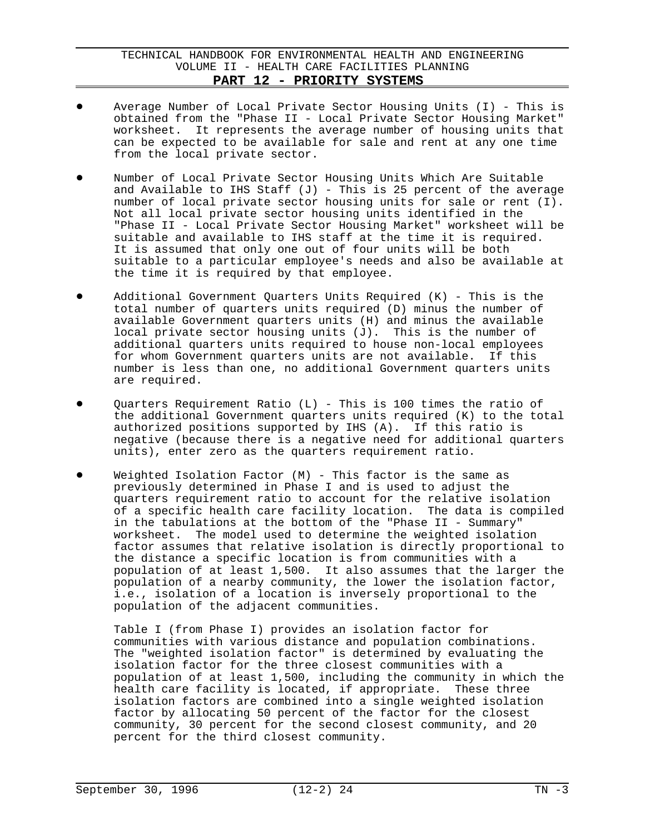- Average Number of Local Private Sector Housing Units  $(I)$  This is obtained from the "Phase II - Local Private Sector Housing Market" worksheet. It represents the average number of housing units that can be expected to be available for sale and rent at any one time from the local private sector.
- Number of Local Private Sector Housing Units Which Are Suitable and Available to IHS Staff  $(J)$  - This is 25 percent of the average number of local private sector housing units for sale or rent (I). Not all local private sector housing units identified in the "Phase II - Local Private Sector Housing Market" worksheet will be suitable and available to IHS staff at the time it is required. It is assumed that only one out of four units will be both suitable to a particular employee's needs and also be available at the time it is required by that employee.
- Additional Government Quarters Units Required  $(K)$  This is the total number of quarters units required (D) minus the number of available Government quarters units (H) and minus the available local private sector housing units (J). This is the number of additional quarters units required to house non-local employees for whom Government quarters units are not available. If this number is less than one, no additional Government quarters units are required.
- Quarters Requirement Ratio (L) This is 100 times the ratio of the additional Government quarters units required (K) to the total authorized positions supported by IHS (A). If this ratio is negative (because there is a negative need for additional quarters units), enter zero as the quarters requirement ratio.
- Weighted Isolation Factor  $(M)$  This factor is the same as previously determined in Phase I and is used to adjust the quarters requirement ratio to account for the relative isolation of a specific health care facility location. The data is compiled in the tabulations at the bottom of the "Phase II - Summary" worksheet. The model used to determine the weighted isolation factor assumes that relative isolation is directly proportional to the distance a specific location is from communities with a population of at least 1,500. It also assumes that the larger the population of a nearby community, the lower the isolation factor, i.e., isolation of a location is inversely proportional to the population of the adjacent communities.

Table I (from Phase I) provides an isolation factor for communities with various distance and population combinations. The "weighted isolation factor" is determined by evaluating the isolation factor for the three closest communities with a population of at least 1,500, including the community in which the health care facility is located, if appropriate. These three isolation factors are combined into a single weighted isolation factor by allocating 50 percent of the factor for the closest community, 30 percent for the second closest community, and 20 percent for the third closest community.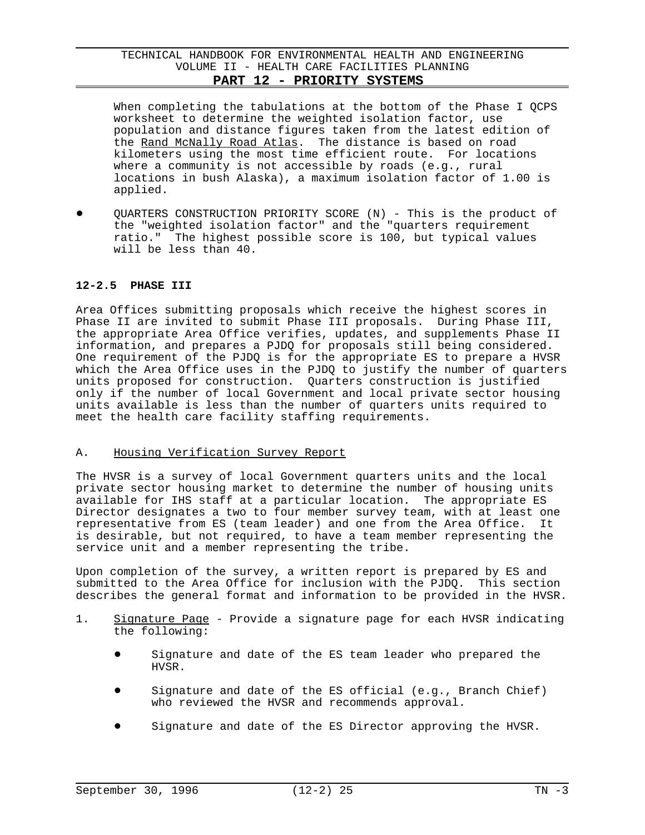When completing the tabulations at the bottom of the Phase I QCPS worksheet to determine the weighted isolation factor, use population and distance figures taken from the latest edition of the Rand McNally Road Atlas. The distance is based on road kilometers using the most time efficient route. For locations where a community is not accessible by roads (e.g., rural locations in bush Alaska), a maximum isolation factor of 1.00 is applied.

QUARTERS CONSTRUCTION PRIORITY SCORE (N) - This is the product of the "weighted isolation factor" and the "quarters requirement ratio." The highest possible score is 100, but typical values will be less than 40.

### **12-2.5 PHASE III**

Area Offices submitting proposals which receive the highest scores in Phase II are invited to submit Phase III proposals. During Phase III, the appropriate Area Office verifies, updates, and supplements Phase II information, and prepares a PJDQ for proposals still being considered. One requirement of the PJDQ is for the appropriate ES to prepare a HVSR which the Area Office uses in the PJDQ to justify the number of quarters units proposed for construction. Quarters construction is justified only if the number of local Government and local private sector housing units available is less than the number of quarters units required to meet the health care facility staffing requirements.

### A. Housing Verification Survey Report

The HVSR is a survey of local Government quarters units and the local private sector housing market to determine the number of housing units available for IHS staff at a particular location. The appropriate ES Director designates a two to four member survey team, with at least one representative from ES (team leader) and one from the Area Office. It is desirable, but not required, to have a team member representing the service unit and a member representing the tribe.

Upon completion of the survey, a written report is prepared by ES and submitted to the Area Office for inclusion with the PJDQ. This section describes the general format and information to be provided in the HVSR.

- 1. Signature Page Provide a signature page for each HVSR indicating the following:
	- Signature and date of the ES team leader who prepared the HVSR.
	- Signature and date of the ES official (e.g., Branch Chief) who reviewed the HVSR and recommends approval.
	- Signature and date of the ES Director approving the HVSR.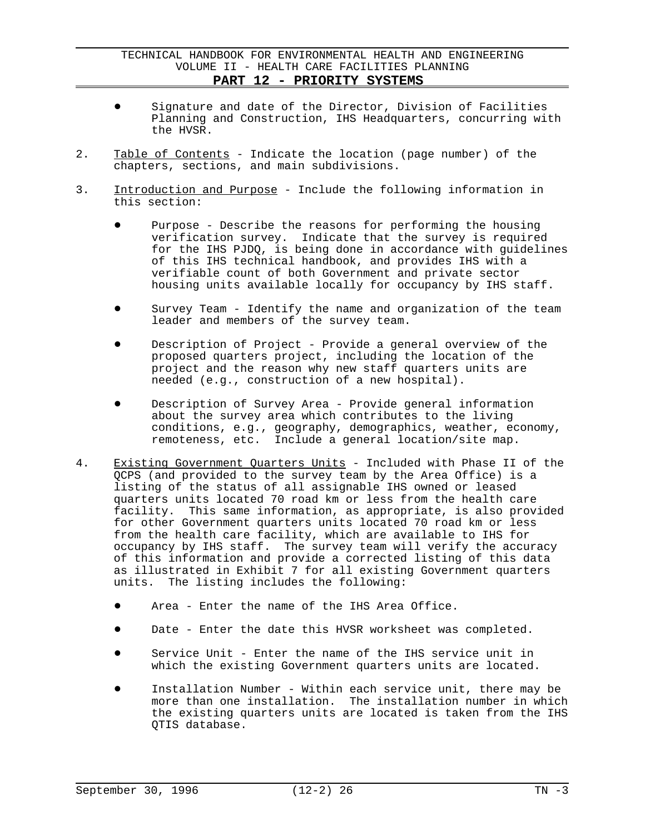- $\bullet$  Signature and date of the Director, Division of Facilities Planning and Construction, IHS Headquarters, concurring with the HVSR.
- 2. Table of Contents Indicate the location (page number) of the chapters, sections, and main subdivisions.
- 3. Introduction and Purpose Include the following information in this section:
	- Purpose Describe the reasons for performing the housing verification survey. Indicate that the survey is required for the IHS PJDQ, is being done in accordance with guidelines of this IHS technical handbook, and provides IHS with a verifiable count of both Government and private sector housing units available locally for occupancy by IHS staff.
	- Survey Team Identify the name and organization of the team leader and members of the survey team.
	- Description of Project Provide a general overview of the proposed quarters project, including the location of the project and the reason why new staff quarters units are needed (e.g., construction of a new hospital).
	- Description of Survey Area Provide general information about the survey area which contributes to the living conditions, e.g., geography, demographics, weather, economy, remoteness, etc. Include a general location/site map.
- 4. Existing Government Quarters Units Included with Phase II of the QCPS (and provided to the survey team by the Area Office) is a listing of the status of all assignable IHS owned or leased quarters units located 70 road km or less from the health care facility. This same information, as appropriate, is also provided for other Government quarters units located 70 road km or less from the health care facility, which are available to IHS for occupancy by IHS staff. The survey team will verify the accuracy of this information and provide a corrected listing of this data as illustrated in Exhibit 7 for all existing Government quarters units. The listing includes the following:
	- Area Enter the name of the IHS Area Office.
	- $\bullet$  Date Enter the date this HVSR worksheet was completed.
	- Service Unit Enter the name of the IHS service unit in which the existing Government quarters units are located.
	- Installation Number Within each service unit, there may be more than one installation. The installation number in which the existing quarters units are located is taken from the IHS QTIS database.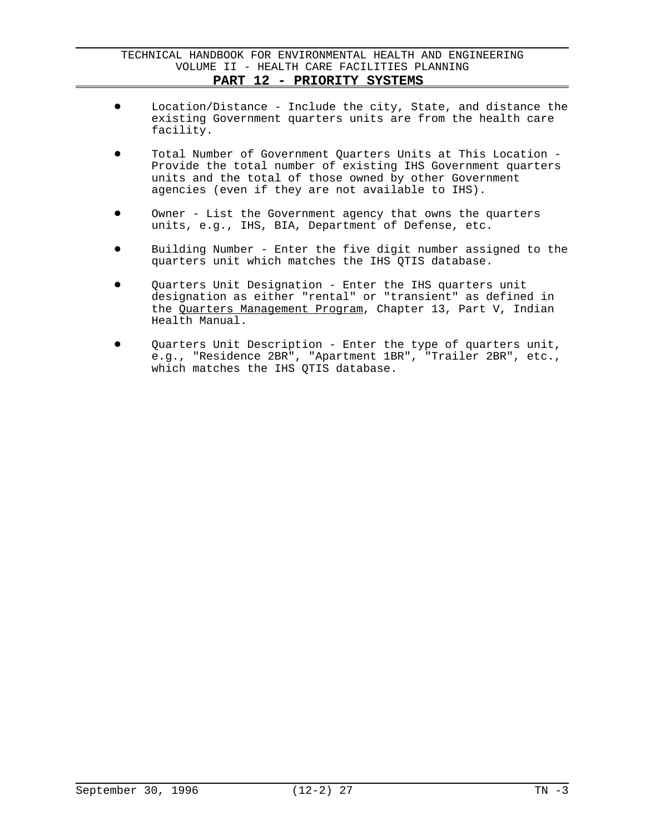- Location/Distance Include the city, State, and distance the existing Government quarters units are from the health care facility.
- Total Number of Government Quarters Units at This Location -Provide the total number of existing IHS Government quarters units and the total of those owned by other Government agencies (even if they are not available to IHS).
- Owner List the Government agency that owns the quarters units, e.g., IHS, BIA, Department of Defense, etc.
- Building Number Enter the five digit number assigned to the quarters unit which matches the IHS QTIS database.
- Quarters Unit Designation Enter the IHS quarters unit designation as either "rental" or "transient" as defined in the Quarters Management Program, Chapter 13, Part V, Indian Health Manual.
- $\bullet$  Quarters Unit Description Enter the type of quarters unit, e.g., "Residence 2BR", "Apartment 1BR", "Trailer 2BR", etc., which matches the IHS QTIS database.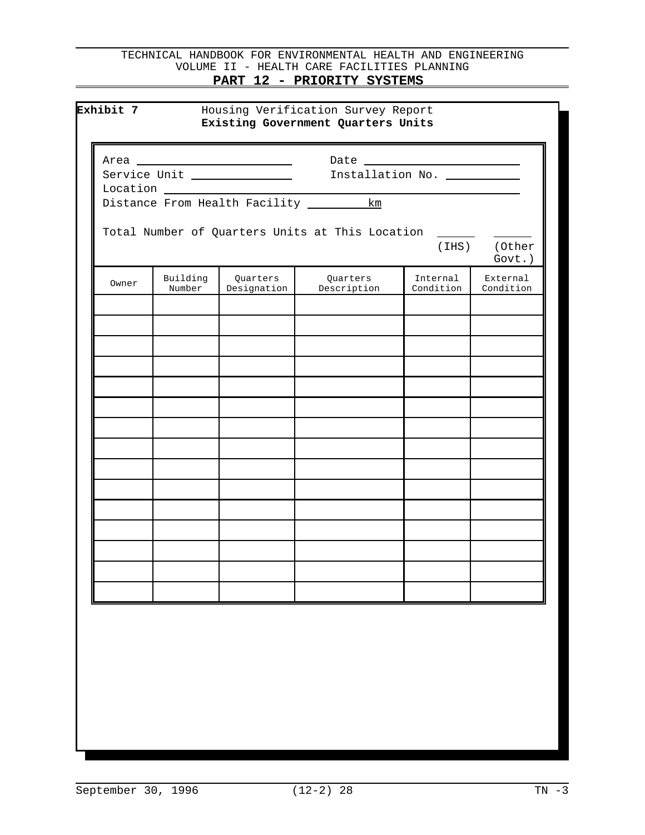|       |                    | Distance From Health Facility ___________km |                                                       |                       |                           |
|-------|--------------------|---------------------------------------------|-------------------------------------------------------|-----------------------|---------------------------|
|       |                    |                                             |                                                       |                       |                           |
|       |                    |                                             | Total Number of Quarters Units at This Location _____ |                       |                           |
|       |                    |                                             |                                                       |                       | (IHS) (Other<br>$Govt.$ ) |
| Owner | Building<br>Number | Quarters<br>Designation                     | Quarters<br>Description                               | Internal<br>Condition | External<br>Condition     |
|       |                    |                                             |                                                       |                       |                           |
|       |                    |                                             |                                                       |                       |                           |
|       |                    |                                             |                                                       |                       |                           |
|       |                    |                                             |                                                       |                       |                           |
|       |                    |                                             |                                                       |                       |                           |
|       |                    |                                             |                                                       |                       |                           |
|       |                    |                                             |                                                       |                       |                           |
|       |                    |                                             |                                                       |                       |                           |
|       |                    |                                             |                                                       |                       |                           |
|       |                    |                                             |                                                       |                       |                           |
|       |                    |                                             |                                                       |                       |                           |
|       |                    |                                             |                                                       |                       |                           |
|       |                    |                                             |                                                       |                       |                           |
|       |                    |                                             |                                                       |                       |                           |
|       |                    |                                             |                                                       |                       |                           |
|       |                    |                                             |                                                       |                       |                           |
|       |                    |                                             |                                                       |                       |                           |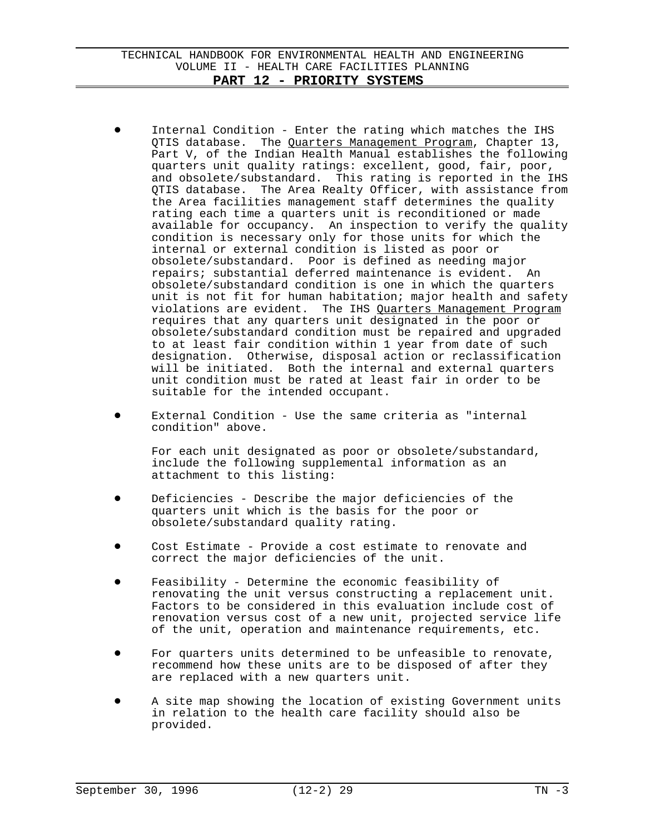- Internal Condition Enter the rating which matches the IHS QTIS database. The Quarters Management Program, Chapter 13, Part V, of the Indian Health Manual establishes the following quarters unit quality ratings: excellent, good, fair, poor, and obsolete/substandard. This rating is reported in the IHS QTIS database. The Area Realty Officer, with assistance from the Area facilities management staff determines the quality rating each time a quarters unit is reconditioned or made available for occupancy. An inspection to verify the quality condition is necessary only for those units for which the internal or external condition is listed as poor or obsolete/substandard. Poor is defined as needing major repairs; substantial deferred maintenance is evident. An obsolete/substandard condition is one in which the quarters unit is not fit for human habitation; major health and safety violations are evident. The IHS Quarters Management Program requires that any quarters unit designated in the poor or obsolete/substandard condition must be repaired and upgraded to at least fair condition within 1 year from date of such designation. Otherwise, disposal action or reclassification will be initiated. Both the internal and external quarters unit condition must be rated at least fair in order to be suitable for the intended occupant.
- External Condition Use the same criteria as "internal condition" above.

For each unit designated as poor or obsolete/substandard, include the following supplemental information as an attachment to this listing:

- Deficiencies Describe the major deficiencies of the quarters unit which is the basis for the poor or obsolete/substandard quality rating.
- ! Cost Estimate Provide a cost estimate to renovate and correct the major deficiencies of the unit.
- Feasibility Determine the economic feasibility of renovating the unit versus constructing a replacement unit. Factors to be considered in this evaluation include cost of renovation versus cost of a new unit, projected service life of the unit, operation and maintenance requirements, etc.
- For quarters units determined to be unfeasible to renovate, recommend how these units are to be disposed of after they are replaced with a new quarters unit.
- A site map showing the location of existing Government units in relation to the health care facility should also be provided.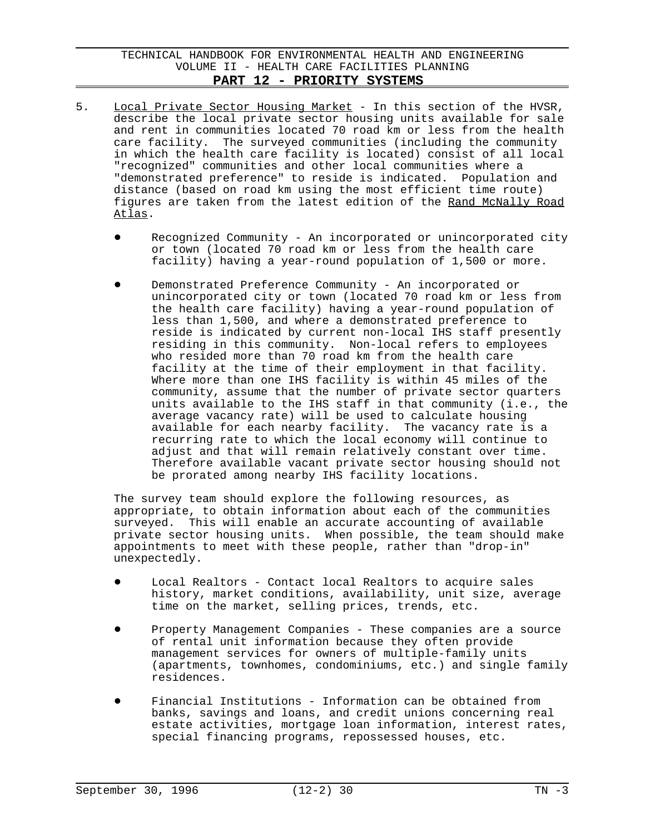- 5. Local Private Sector Housing Market In this section of the HVSR, describe the local private sector housing units available for sale and rent in communities located 70 road km or less from the health care facility. The surveyed communities (including the community in which the health care facility is located) consist of all local "recognized" communities and other local communities where a "demonstrated preference" to reside is indicated. Population and distance (based on road km using the most efficient time route) figures are taken from the latest edition of the Rand McNally Road Atlas.
	- Recognized Community An incorporated or unincorporated city or town (located 70 road km or less from the health care facility) having a year-round population of 1,500 or more.
	- Demonstrated Preference Community An incorporated or unincorporated city or town (located 70 road km or less from the health care facility) having a year-round population of less than 1,500, and where a demonstrated preference to reside is indicated by current non-local IHS staff presently residing in this community. Non-local refers to employees who resided more than 70 road km from the health care facility at the time of their employment in that facility. Where more than one IHS facility is within 45 miles of the community, assume that the number of private sector quarters units available to the IHS staff in that community (i.e., the average vacancy rate) will be used to calculate housing available for each nearby facility. The vacancy rate is a recurring rate to which the local economy will continue to adjust and that will remain relatively constant over time. Therefore available vacant private sector housing should not be prorated among nearby IHS facility locations.

The survey team should explore the following resources, as appropriate, to obtain information about each of the communities surveyed. This will enable an accurate accounting of available private sector housing units. When possible, the team should make appointments to meet with these people, rather than "drop-in" unexpectedly.

- Local Realtors Contact local Realtors to acquire sales history, market conditions, availability, unit size, average time on the market, selling prices, trends, etc.
- Property Management Companies These companies are a source of rental unit information because they often provide management services for owners of multiple-family units (apartments, townhomes, condominiums, etc.) and single family residences.
- Financial Institutions Information can be obtained from banks, savings and loans, and credit unions concerning real estate activities, mortgage loan information, interest rates, special financing programs, repossessed houses, etc.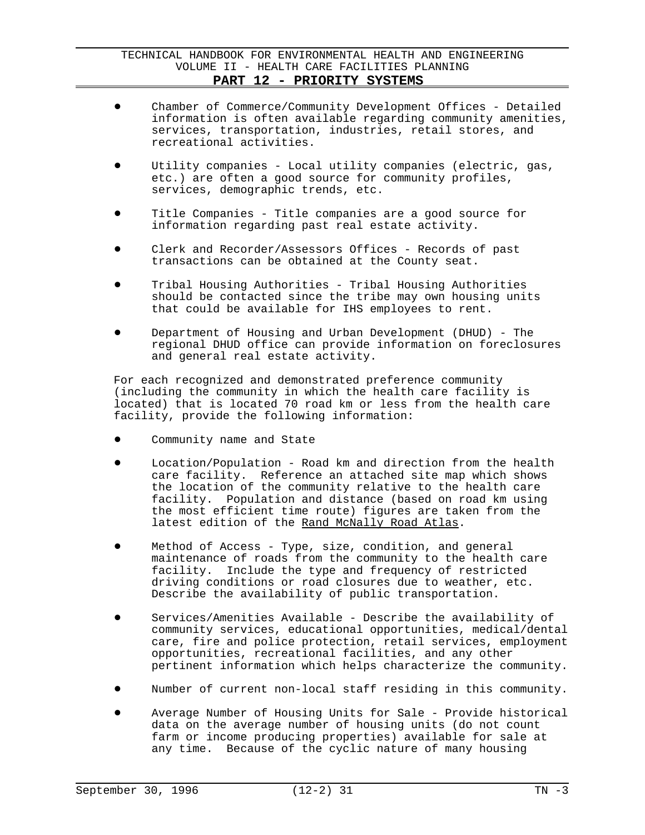- ! Chamber of Commerce/Community Development Offices Detailed information is often available regarding community amenities, services, transportation, industries, retail stores, and recreational activities.
- Utility companies Local utility companies (electric, gas, etc.) are often a good source for community profiles, services, demographic trends, etc.
- Title Companies Title companies are a good source for information regarding past real estate activity.
- Clerk and Recorder/Assessors Offices Records of past transactions can be obtained at the County seat.
- ! Tribal Housing Authorities Tribal Housing Authorities should be contacted since the tribe may own housing units that could be available for IHS employees to rent.
- ! Department of Housing and Urban Development (DHUD) The regional DHUD office can provide information on foreclosures and general real estate activity.

For each recognized and demonstrated preference community (including the community in which the health care facility is located) that is located 70 road km or less from the health care facility, provide the following information:

- Community name and State
- Location/Population Road km and direction from the health care facility. Reference an attached site map which shows the location of the community relative to the health care facility. Population and distance (based on road km using the most efficient time route) figures are taken from the latest edition of the Rand McNally Road Atlas.
- Method of Access Type, size, condition, and general maintenance of roads from the community to the health care facility. Include the type and frequency of restricted driving conditions or road closures due to weather, etc. Describe the availability of public transportation.
- Services/Amenities Available Describe the availability of community services, educational opportunities, medical/dental care, fire and police protection, retail services, employment opportunities, recreational facilities, and any other pertinent information which helps characterize the community.
- Number of current non-local staff residing in this community.
- Average Number of Housing Units for Sale Provide historical data on the average number of housing units (do not count farm or income producing properties) available for sale at any time. Because of the cyclic nature of many housing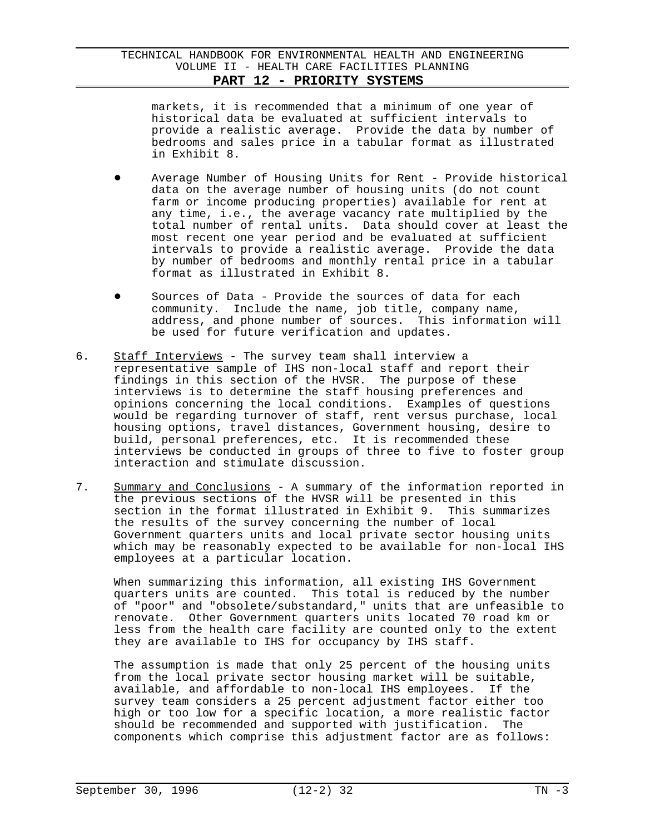markets, it is recommended that a minimum of one year of historical data be evaluated at sufficient intervals to provide a realistic average. Provide the data by number of bedrooms and sales price in a tabular format as illustrated in Exhibit 8.

- Average Number of Housing Units for Rent Provide historical data on the average number of housing units (do not count farm or income producing properties) available for rent at any time, i.e., the average vacancy rate multiplied by the total number of rental units. Data should cover at least the most recent one year period and be evaluated at sufficient intervals to provide a realistic average. Provide the data by number of bedrooms and monthly rental price in a tabular format as illustrated in Exhibit 8.
- $\bullet$  Sources of Data Provide the sources of data for each community. Include the name, job title, company name, address, and phone number of sources. This information will be used for future verification and updates.
- 6. Staff Interviews The survey team shall interview a representative sample of IHS non-local staff and report their findings in this section of the HVSR. The purpose of these interviews is to determine the staff housing preferences and opinions concerning the local conditions. Examples of questions would be regarding turnover of staff, rent versus purchase, local housing options, travel distances, Government housing, desire to build, personal preferences, etc. It is recommended these interviews be conducted in groups of three to five to foster group interaction and stimulate discussion.
- 7. Summary and Conclusions A summary of the information reported in the previous sections of the HVSR will be presented in this section in the format illustrated in Exhibit 9. This summarizes the results of the survey concerning the number of local Government quarters units and local private sector housing units which may be reasonably expected to be available for non-local IHS employees at a particular location.

When summarizing this information, all existing IHS Government quarters units are counted. This total is reduced by the number of "poor" and "obsolete/substandard," units that are unfeasible to renovate. Other Government quarters units located 70 road km or less from the health care facility are counted only to the extent they are available to IHS for occupancy by IHS staff.

The assumption is made that only 25 percent of the housing units from the local private sector housing market will be suitable, available, and affordable to non-local IHS employees. If the survey team considers a 25 percent adjustment factor either too high or too low for a specific location, a more realistic factor should be recommended and supported with justification. The components which comprise this adjustment factor are as follows: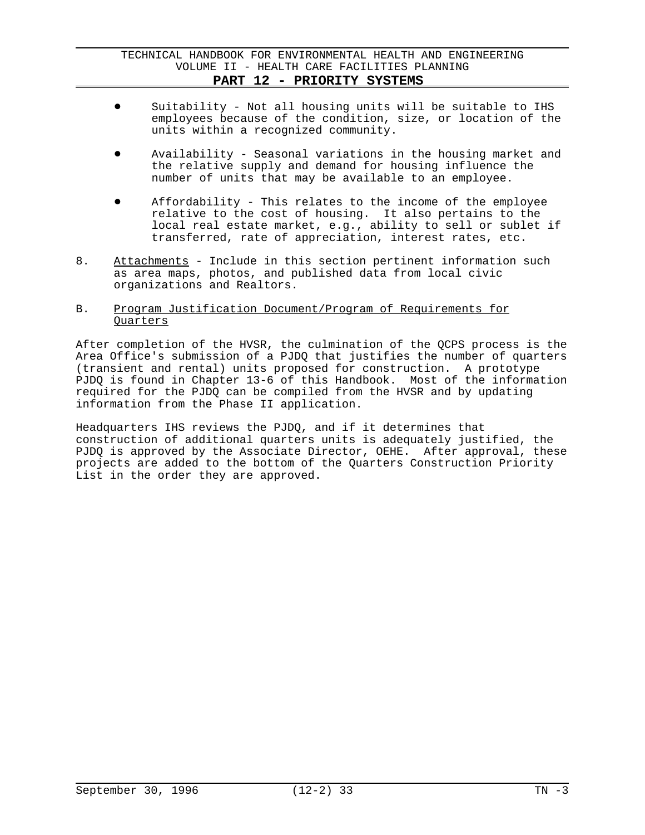- Suitability Not all housing units will be suitable to IHS employees because of the condition, size, or location of the units within a recognized community.
- Availability Seasonal variations in the housing market and the relative supply and demand for housing influence the number of units that may be available to an employee.
- Affordability This relates to the income of the employee relative to the cost of housing. It also pertains to the local real estate market, e.g., ability to sell or sublet if transferred, rate of appreciation, interest rates, etc.
- 8. Attachments Include in this section pertinent information such as area maps, photos, and published data from local civic organizations and Realtors.

### B. Program Justification Document/Program of Requirements for Quarters

After completion of the HVSR, the culmination of the QCPS process is the Area Office's submission of a PJDQ that justifies the number of quarters (transient and rental) units proposed for construction. A prototype PJDQ is found in Chapter 13-6 of this Handbook. Most of the information required for the PJDQ can be compiled from the HVSR and by updating information from the Phase II application.

Headquarters IHS reviews the PJDQ, and if it determines that construction of additional quarters units is adequately justified, the PJDQ is approved by the Associate Director, OEHE. After approval, these projects are added to the bottom of the Quarters Construction Priority List in the order they are approved.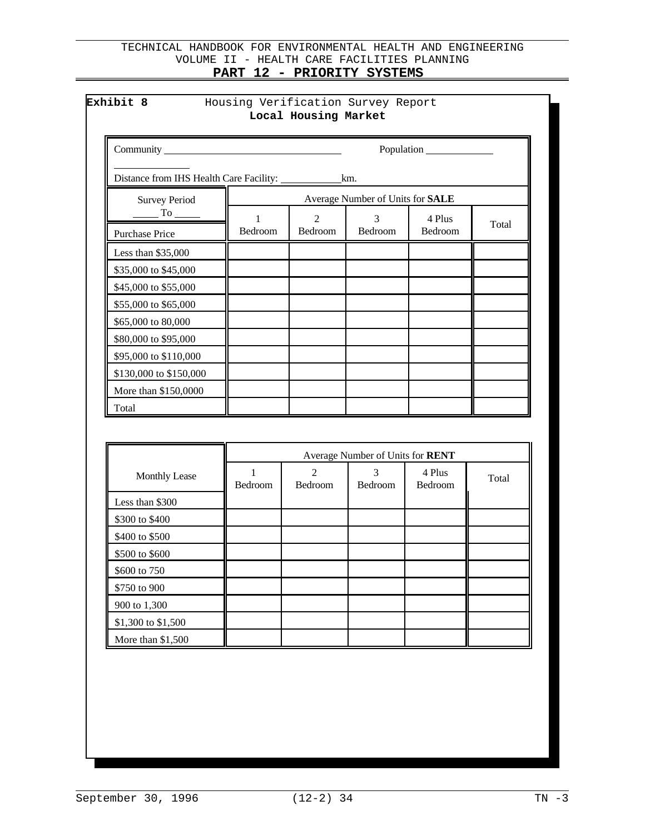|                                                |         |                                        |                                  | Population        |       |
|------------------------------------------------|---------|----------------------------------------|----------------------------------|-------------------|-------|
|                                                |         |                                        |                                  |                   |       |
| <b>Survey Period</b>                           |         |                                        | Average Number of Units for SALE |                   |       |
| $\frac{1}{\sqrt{10}}$<br><b>Purchase Price</b> | Bedroom | $\mathcal{D}_{\mathcal{L}}$<br>Bedroom | $\mathcal{R}$<br>Bedroom         | 4 Plus<br>Bedroom | Total |
| Less than $$35,000$                            |         |                                        |                                  |                   |       |
| \$35,000 to \$45,000                           |         |                                        |                                  |                   |       |
| \$45,000 to \$55,000                           |         |                                        |                                  |                   |       |
| \$55,000 to \$65,000                           |         |                                        |                                  |                   |       |
| \$65,000 to 80,000                             |         |                                        |                                  |                   |       |
| \$80,000 to \$95,000                           |         |                                        |                                  |                   |       |
| \$95,000 to \$110,000                          |         |                                        |                                  |                   |       |
| \$130,000 to \$150,000                         |         |                                        |                                  |                   |       |
| More than \$150,0000                           |         |                                        |                                  |                   |       |
| Total                                          |         |                                        |                                  |                   |       |

|                      | Average Number of Units for RENT |         |                |                   |       |
|----------------------|----------------------------------|---------|----------------|-------------------|-------|
| <b>Monthly Lease</b> | Bedroom                          | Bedroom | <b>Bedroom</b> | 4 Plus<br>Bedroom | Total |
| Less than \$300      |                                  |         |                |                   |       |
| \$300 to \$400       |                                  |         |                |                   |       |
| \$400 to \$500       |                                  |         |                |                   |       |
| \$500 to \$600       |                                  |         |                |                   |       |
| \$600 to 750         |                                  |         |                |                   |       |
| \$750 to 900         |                                  |         |                |                   |       |
| 900 to 1,300         |                                  |         |                |                   |       |
| \$1,300 to \$1,500   |                                  |         |                |                   |       |
| More than $$1,500$   |                                  |         |                |                   |       |